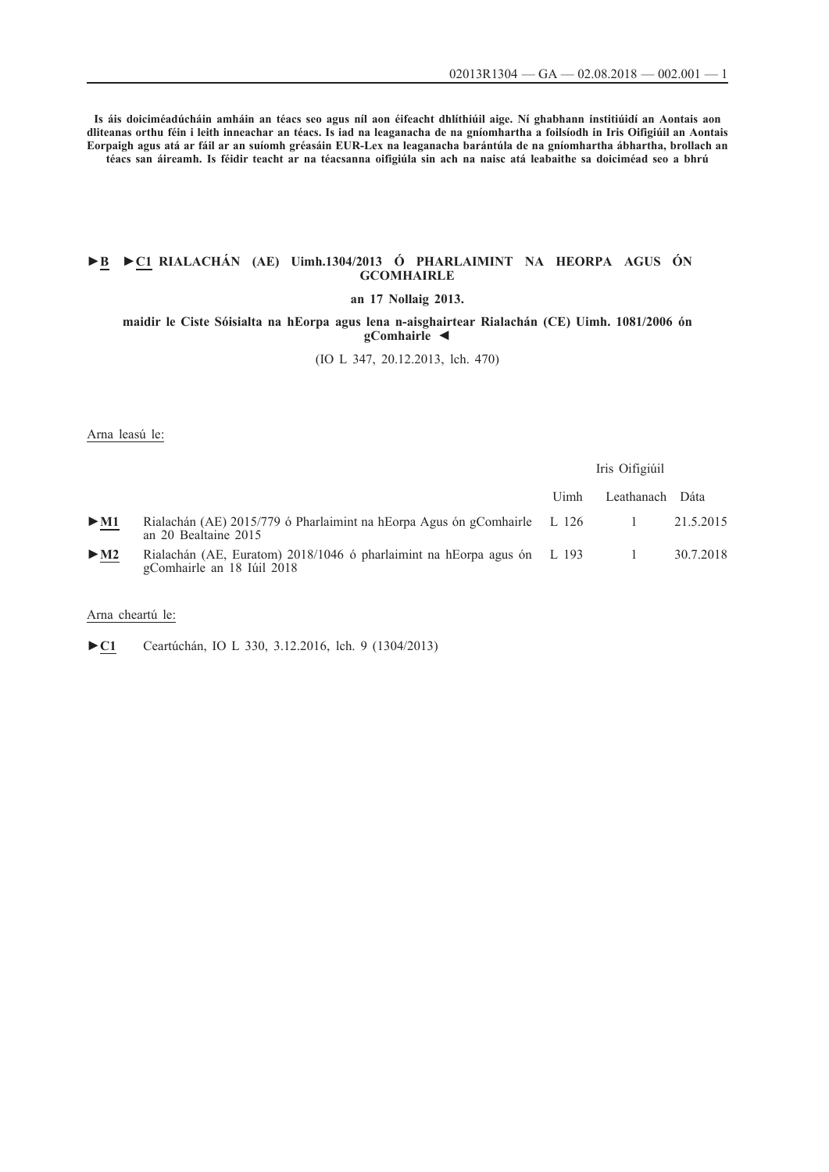**Is áis doiciméadúcháin amháin an téacs seo agus níl aon éifeacht dhlíthiúil aige. Ní ghabhann institiúidí an Aontais aon dliteanas orthu féin i leith inneachar an téacs. Is iad na leaganacha de na gníomhartha a foilsíodh in Iris Oifigiúil an Aontais Eorpaigh agus atá ar fáil ar an suíomh gréasáin EUR-Lex na leaganacha barántúla de na gníomhartha ábhartha, brollach an téacs san áireamh. Is féidir teacht ar na téacsanna oifigiúla sin ach na naisc atá leabaithe sa doiciméad seo a bhrú**

### **►B [►](http://data.europa.eu/eli/reg/2013/1304/oj/gle)[C1 RIALACHÁN \(AE\) Uimh.1304/2013 Ó PHARLAIMINT NA HEORPA AGUS ÓN](http://data.europa.eu/eli/reg/2013/1304/oj/gle) [GCOMHAIRLE](http://data.europa.eu/eli/reg/2013/1304/oj/gle)**

### **[an 17 Nollaig 2013.](http://data.europa.eu/eli/reg/2013/1304/oj/gle)**

**[maidir le Ciste Sóisialta na hEorpa agus lena n-aisghairtear Rialachán \(CE\) Uimh. 1081/2006 ón](http://data.europa.eu/eli/reg/2013/1304/oj/gle) [gComhairle](http://data.europa.eu/eli/reg/2013/1304/oj/gle) ◄**

[\(IO L 347, 20.12.2013, lch. 470\)](http://data.europa.eu/eli/reg/2013/1304/oj/gle)

Arna leasú le:

|                          |                                                                                                       | Iris Oifigiúil |            |           |
|--------------------------|-------------------------------------------------------------------------------------------------------|----------------|------------|-----------|
|                          |                                                                                                       | Uimh           | Leathanach | Dáta      |
| $\triangleright$ M1      | Rialachán (AE) 2015/779 ó Pharlaimint na hEorpa Agus ón gComhairle L 126<br>an 20 Bealtaine 2015      |                |            | 21.5.2015 |
| $\blacktriangleright$ M2 | Rialachán (AE, Euratom) 2018/1046 ó pharlaimint na hEorpa agus ón L 193<br>gComhairle an 18 Iúil 2018 |                |            | 30.7.2018 |

Arna cheartú le:

[►](http://data.europa.eu/eli/reg/2013/1304/corrigendum/2016-12-03/oj/gle)**[C1](http://data.europa.eu/eli/reg/2013/1304/corrigendum/2016-12-03/oj/gle)** [Ceartúchán, IO L 330, 3.12.2016, lch. 9 \(1304/2013\)](http://data.europa.eu/eli/reg/2013/1304/corrigendum/2016-12-03/oj/gle)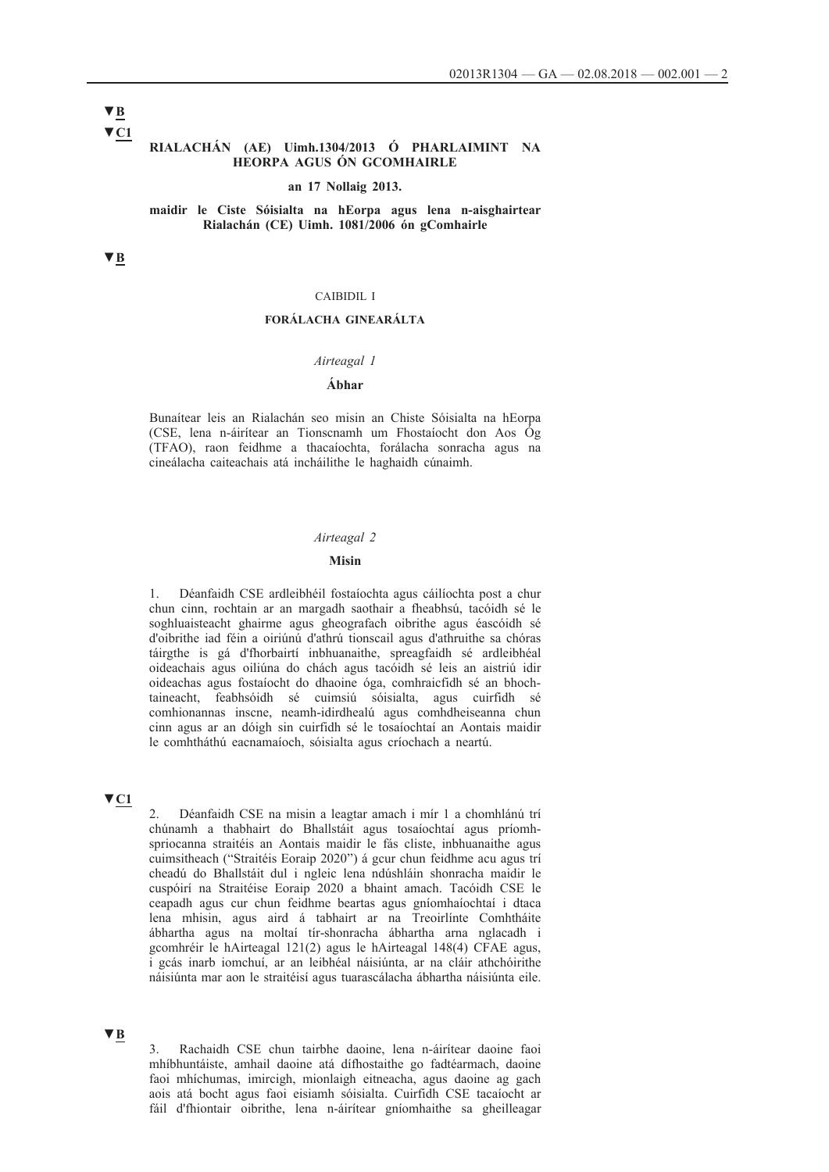#### **▼C1 RIALACHÁN (AE) Uimh.1304/2013 Ó PHARLAIMINT NA HEORPA AGUS ÓN GCOMHAIRLE**

#### **an 17 Nollaig 2013.**

#### **maidir le Ciste Sóisialta na hEorpa agus lena n-aisghairtear Rialachán (CE) Uimh. 1081/2006 ón gComhairle**

**▼B**

#### CAIBIDIL I

### **FORÁLACHA GINEARÁLTA**

#### *Airteagal 1*

### **Ábhar**

Bunaítear leis an Rialachán seo misin an Chiste Sóisialta na hEorpa (CSE, lena n-áirítear an Tionscnamh um Fhostaíocht don Aos Óg (TFAO), raon feidhme a thacaíochta, forálacha sonracha agus na cineálacha caiteachais atá incháilithe le haghaidh cúnaimh.

#### *Airteagal 2*

#### **Misin**

1. Déanfaidh CSE ardleibhéil fostaíochta agus cáilíochta post a chur chun cinn, rochtain ar an margadh saothair a fheabhsú, tacóidh sé le soghluaisteacht ghairme agus gheografach oibrithe agus éascóidh sé d'oibrithe iad féin a oiriúnú d'athrú tionscail agus d'athruithe sa chóras táirgthe is gá d'fhorbairtí inbhuanaithe, spreagfaidh sé ardleibhéal oideachais agus oiliúna do chách agus tacóidh sé leis an aistriú idir oideachas agus fostaíocht do dhaoine óga, comhraicfidh sé an bhochtaineacht, feabhsóidh sé cuimsiú sóisialta, agus cuirfidh sé comhionannas inscne, neamh-idirdhealú agus comhdheiseanna chun cinn agus ar an dóigh sin cuirfidh sé le tosaíochtaí an Aontais maidir le comhtháthú eacnamaíoch, sóisialta agus críochach a neartú.

# **▼C1**

2. Déanfaidh CSE na misin a leagtar amach i mír 1 a chomhlánú trí chúnamh a thabhairt do Bhallstáit agus tosaíochtaí agus príomhspriocanna straitéis an Aontais maidir le fás cliste, inbhuanaithe agus cuimsitheach ("Straitéis Eoraip 2020") á gcur chun feidhme acu agus trí cheadú do Bhallstáit dul i ngleic lena ndúshláin shonracha maidir le cuspóirí na Straitéise Eoraip 2020 a bhaint amach. Tacóidh CSE le ceapadh agus cur chun feidhme beartas agus gníomhaíochtaí i dtaca lena mhisin, agus aird á tabhairt ar na Treoirlínte Comhtháite ábhartha agus na moltaí tír-shonracha ábhartha arna nglacadh i gcomhréir le hAirteagal 121(2) agus le hAirteagal 148(4) CFAE agus, i gcás inarb iomchuí, ar an leibhéal náisiúnta, ar na cláir athchóirithe náisiúnta mar aon le straitéisí agus tuarascálacha ábhartha náisiúnta eile.

### **▼B**

3. Rachaidh CSE chun tairbhe daoine, lena n-áirítear daoine faoi mhíbhuntáiste, amhail daoine atá dífhostaithe go fadtéarmach, daoine faoi mhíchumas, imircigh, mionlaigh eitneacha, agus daoine ag gach aois atá bocht agus faoi eisiamh sóisialta. Cuirfidh CSE tacaíocht ar fáil d'fhiontair oibrithe, lena n-áirítear gníomhaithe sa gheilleagar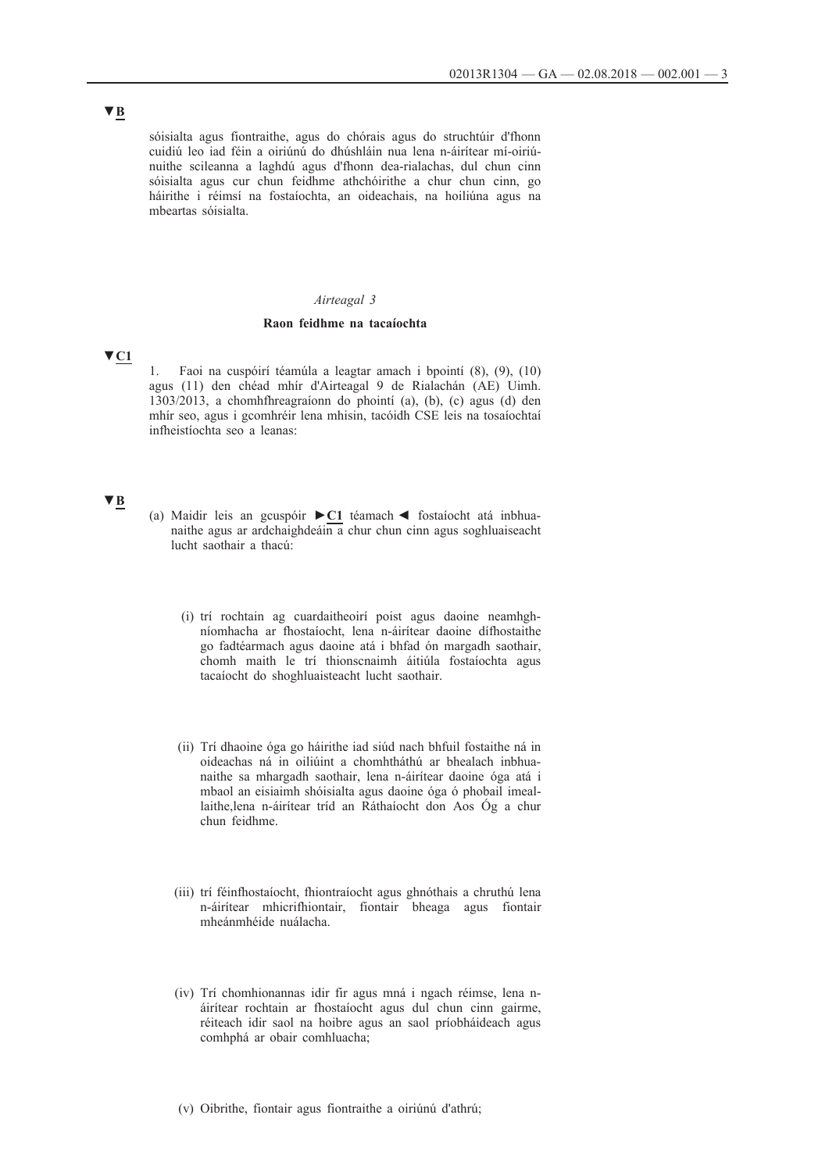sóisialta agus fiontraithe, agus do chórais agus do struchtúir d'fhonn cuidiú leo iad féin a oiriúnú do dhúshláin nua lena n-áirítear mí-oiriúnuithe scileanna a laghdú agus d'fhonn dea-rialachas, dul chun cinn sóisialta agus cur chun feidhme athchóirithe a chur chun cinn, go háirithe i réimsí na fostaíochta, an oideachais, na hoiliúna agus na mbeartas sóisialta.

#### *Airteagal 3*

#### **Raon feidhme na tacaíochta**

### **▼C1**

1. Faoi na cuspóirí téamúla a leagtar amach i bpointí (8), (9), (10) agus (11) den chéad mhír d'Airteagal 9 de Rialachán (AE) Uimh. 1303/2013, a chomhfhreagraíonn do phointí (a), (b), (c) agus (d) den mhír seo, agus i gcomhréir lena mhisin, tacóidh CSE leis na tosaíochtaí infheistíochta seo a leanas:

### **▼B**

- (a) Maidir leis an gcuspóir **►C1** téamach ◄ fostaíocht atá inbhuanaithe agus ar ardchaighdeáin a chur chun cinn agus soghluaiseacht lucht saothair a thacú:
	- (i) trí rochtain ag cuardaitheoirí poist agus daoine neamhghníomhacha ar fhostaíocht, lena n-áirítear daoine dífhostaithe go fadtéarmach agus daoine atá i bhfad ón margadh saothair, chomh maith le trí thionscnaimh áitiúla fostaíochta agus tacaíocht do shoghluaisteacht lucht saothair.
	- (ii) Trí dhaoine óga go háirithe iad siúd nach bhfuil fostaithe ná in oideachas ná in oiliúint a chomhtháthú ar bhealach inbhuanaithe sa mhargadh saothair, lena n-áirítear daoine óga atá i mbaol an eisiaimh shóisialta agus daoine óga ó phobail imeallaithe,lena n-áirítear tríd an Ráthaíocht don Aos Óg a chur chun feidhme.
	- (iii) trí féinfhostaíocht, fhiontraíocht agus ghnóthais a chruthú lena n-áirítear mhicrifhiontair, fiontair bheaga agus fiontair mheánmhéide nuálacha.
	- (iv) Trí chomhionannas idir fir agus mná i ngach réimse, lena náirítear rochtain ar fhostaíocht agus dul chun cinn gairme, réiteach idir saol na hoibre agus an saol príobháideach agus comhphá ar obair comhluacha;
	- (v) Oibrithe, fiontair agus fiontraithe a oiriúnú d'athrú;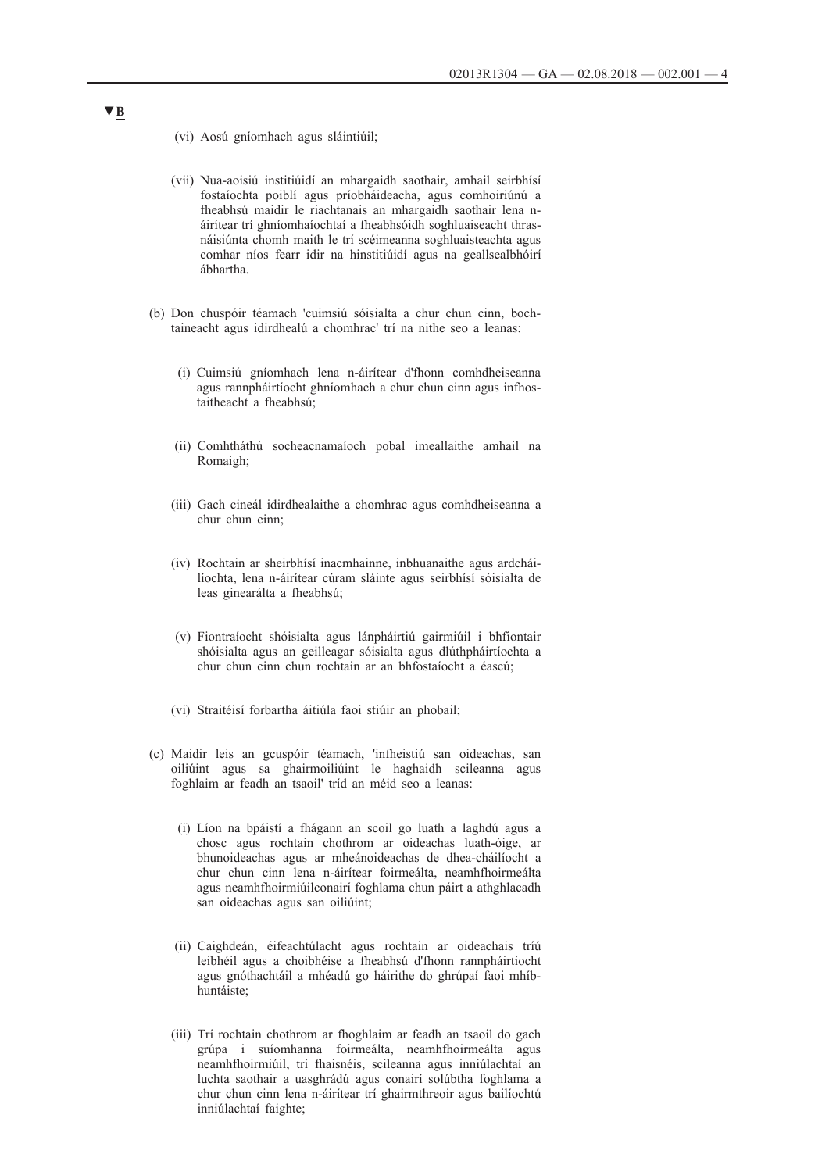- (vi) Aosú gníomhach agus sláintiúil;
- (vii) Nua-aoisiú institiúidí an mhargaidh saothair, amhail seirbhísí fostaíochta poiblí agus príobháideacha, agus comhoiriúnú a fheabhsú maidir le riachtanais an mhargaidh saothair lena náirítear trí ghníomhaíochtaí a fheabhsóidh soghluaiseacht thrasnáisiúnta chomh maith le trí scéimeanna soghluaisteachta agus comhar níos fearr idir na hinstitiúidí agus na geallsealbhóirí ábhartha.
- (b) Don chuspóir téamach 'cuimsiú sóisialta a chur chun cinn, bochtaineacht agus idirdhealú a chomhrac' trí na nithe seo a leanas:
	- (i) Cuimsiú gníomhach lena n-áirítear d'fhonn comhdheiseanna agus rannpháirtíocht ghníomhach a chur chun cinn agus infhostaitheacht a fheabhsú;
	- (ii) Comhtháthú socheacnamaíoch pobal imeallaithe amhail na Romaigh;
	- (iii) Gach cineál idirdhealaithe a chomhrac agus comhdheiseanna a chur chun cinn;
	- (iv) Rochtain ar sheirbhísí inacmhainne, inbhuanaithe agus ardcháilíochta, lena n-áirítear cúram sláinte agus seirbhísí sóisialta de leas ginearálta a fheabhsú;
	- (v) Fiontraíocht shóisialta agus lánpháirtiú gairmiúil i bhfiontair shóisialta agus an geilleagar sóisialta agus dlúthpháirtíochta a chur chun cinn chun rochtain ar an bhfostaíocht a éascú;
	- (vi) Straitéisí forbartha áitiúla faoi stiúir an phobail;
- (c) Maidir leis an gcuspóir téamach, 'infheistiú san oideachas, san oiliúint agus sa ghairmoiliúint le haghaidh scileanna agus foghlaim ar feadh an tsaoil' tríd an méid seo a leanas:
	- (i) Líon na bpáistí a fhágann an scoil go luath a laghdú agus a chosc agus rochtain chothrom ar oideachas luath-óige, ar bhunoideachas agus ar mheánoideachas de dhea-cháilíocht a chur chun cinn lena n-áirítear foirmeálta, neamhfhoirmeálta agus neamhfhoirmiúilconairí foghlama chun páirt a athghlacadh san oideachas agus san oiliúint;
	- (ii) Caighdeán, éifeachtúlacht agus rochtain ar oideachais tríú leibhéil agus a choibhéise a fheabhsú d'fhonn rannpháirtíocht agus gnóthachtáil a mhéadú go háirithe do ghrúpaí faoi mhíbhuntáiste;
	- (iii) Trí rochtain chothrom ar fhoghlaim ar feadh an tsaoil do gach grúpa i suíomhanna foirmeálta, neamhfhoirmeálta agus neamhfhoirmiúil, trí fhaisnéis, scileanna agus inniúlachtaí an luchta saothair a uasghrádú agus conairí solúbtha foghlama a chur chun cinn lena n-áirítear trí ghairmthreoir agus bailíochtú inniúlachtaí faighte;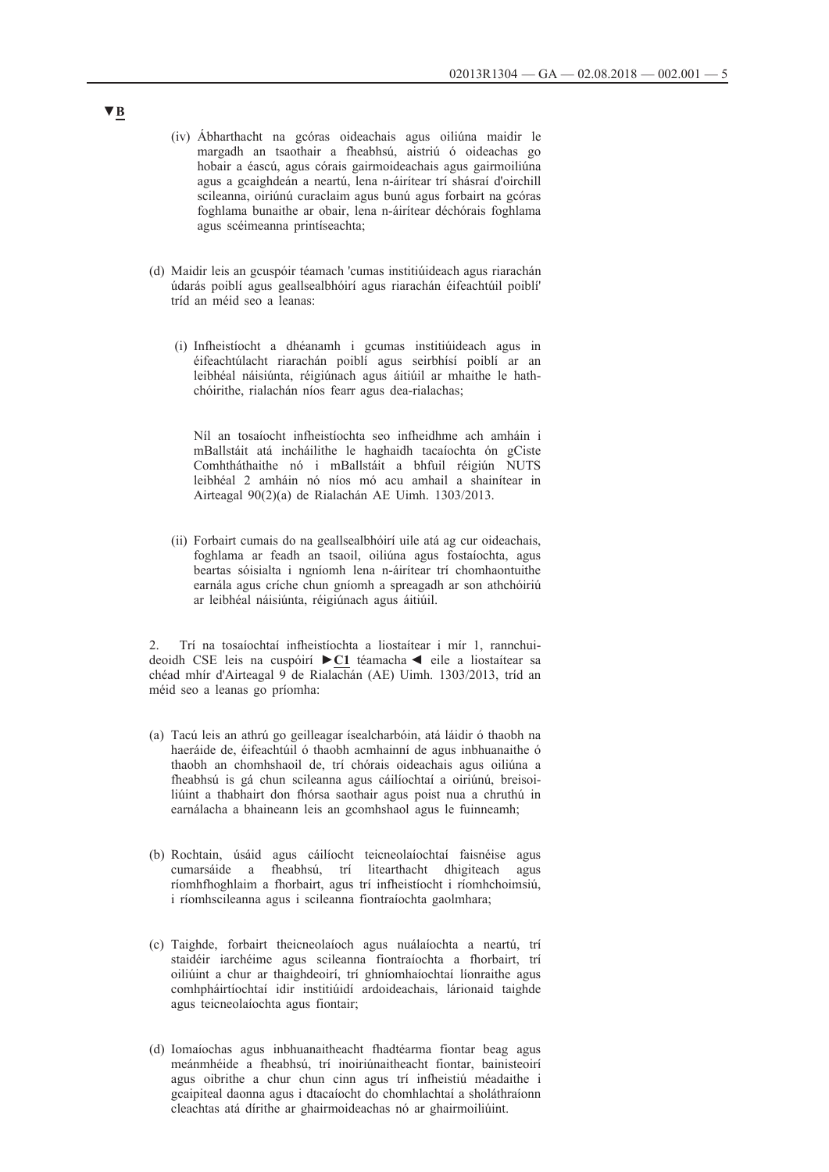- (iv) Ábharthacht na gcóras oideachais agus oiliúna maidir le margadh an tsaothair a fheabhsú, aistriú ó oideachas go hobair a éascú, agus córais gairmoideachais agus gairmoiliúna agus a gcaighdeán a neartú, lena n-áirítear trí shásraí d'oirchill scileanna, oiriúnú curaclaim agus bunú agus forbairt na gcóras foghlama bunaithe ar obair, lena n-áirítear déchórais foghlama agus scéimeanna printíseachta;
- (d) Maidir leis an gcuspóir téamach 'cumas institiúideach agus riarachán údarás poiblí agus geallsealbhóirí agus riarachán éifeachtúil poiblí' tríd an méid seo a leanas:
	- (i) Infheistíocht a dhéanamh i gcumas institiúideach agus in éifeachtúlacht riarachán poiblí agus seirbhísí poiblí ar an leibhéal náisiúnta, réigiúnach agus áitiúil ar mhaithe le hathchóirithe, rialachán níos fearr agus dea-rialachas;

Níl an tosaíocht infheistíochta seo infheidhme ach amháin i mBallstáit atá incháilithe le haghaidh tacaíochta ón gCiste Comhtháthaithe nó i mBallstáit a bhfuil réigiún NUTS leibhéal 2 amháin nó níos mó acu amhail a shainítear in Airteagal 90(2)(a) de Rialachán AE Uimh. 1303/2013.

(ii) Forbairt cumais do na geallsealbhóirí uile atá ag cur oideachais, foghlama ar feadh an tsaoil, oiliúna agus fostaíochta, agus beartas sóisialta i ngníomh lena n-áirítear trí chomhaontuithe earnála agus críche chun gníomh a spreagadh ar son athchóiriú ar leibhéal náisiúnta, réigiúnach agus áitiúil.

2. Trí na tosaíochtaí infheistíochta a liostaítear i mír 1, rannchuideoidh CSE leis na cuspóirí **►C1** téamacha ◄ eile a liostaítear sa chéad mhír d'Airteagal 9 de Rialachán (AE) Uimh. 1303/2013, tríd an méid seo a leanas go príomha:

- (a) Tacú leis an athrú go geilleagar ísealcharbóin, atá láidir ó thaobh na haeráide de, éifeachtúil ó thaobh acmhainní de agus inbhuanaithe ó thaobh an chomhshaoil de, trí chórais oideachais agus oiliúna a fheabhsú is gá chun scileanna agus cáilíochtaí a oiriúnú, breisoiliúint a thabhairt don fhórsa saothair agus poist nua a chruthú in earnálacha a bhaineann leis an gcomhshaol agus le fuinneamh;
- (b) Rochtain, úsáid agus cáilíocht teicneolaíochtaí faisnéise agus cumarsáide a fheabhsú, trí litearthacht dhigiteach agus ríomhfhoghlaim a fhorbairt, agus trí infheistíocht i ríomhchoimsiú, i ríomhscileanna agus i scileanna fiontraíochta gaolmhara;
- (c) Taighde, forbairt theicneolaíoch agus nuálaíochta a neartú, trí staidéir iarchéime agus scileanna fiontraíochta a fhorbairt, trí oiliúint a chur ar thaighdeoirí, trí ghníomhaíochtaí líonraithe agus comhpháirtíochtaí idir institiúidí ardoideachais, lárionaid taighde agus teicneolaíochta agus fiontair;
- (d) Iomaíochas agus inbhuanaitheacht fhadtéarma fiontar beag agus meánmhéide a fheabhsú, trí inoiriúnaitheacht fiontar, bainisteoirí agus oibrithe a chur chun cinn agus trí infheistiú méadaithe i gcaipiteal daonna agus i dtacaíocht do chomhlachtaí a sholáthraíonn cleachtas atá dírithe ar ghairmoideachas nó ar ghairmoiliúint.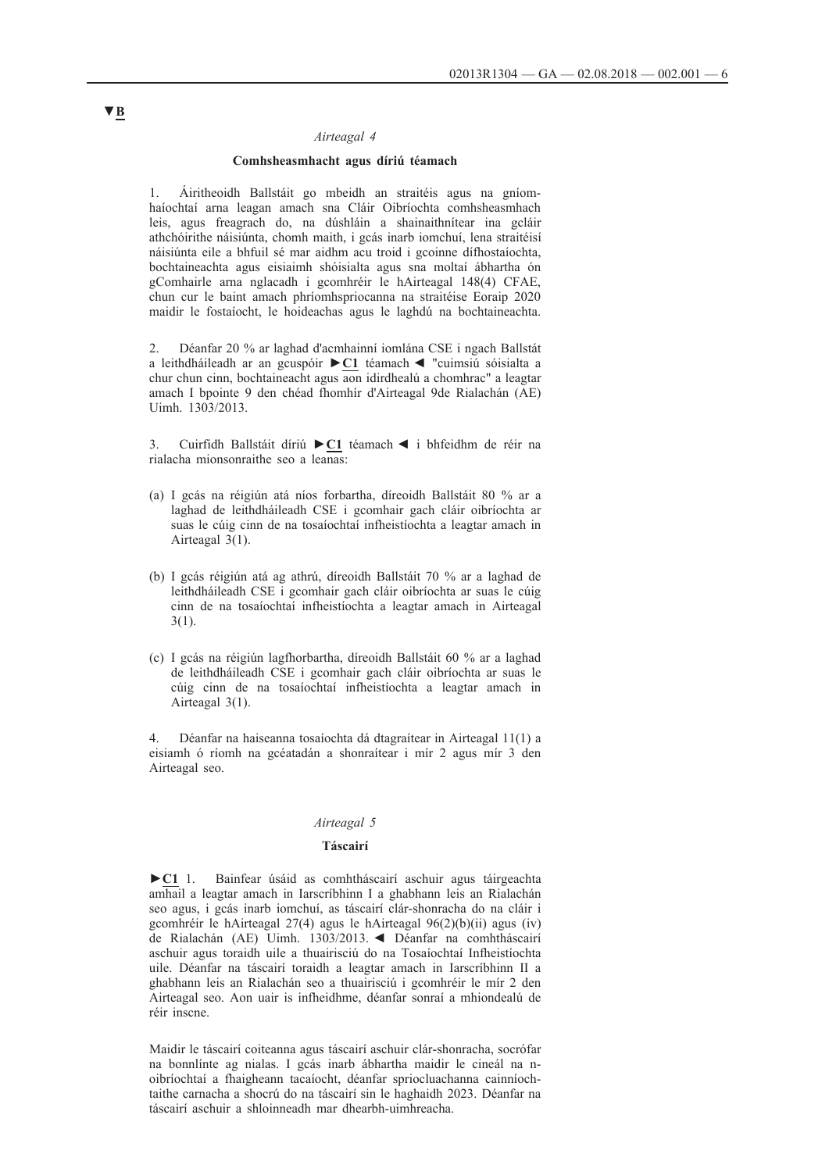#### *Airteagal 4*

#### **Comhsheasmhacht agus díriú téamach**

1. Áiritheoidh Ballstáit go mbeidh an straitéis agus na gníomhaíochtaí arna leagan amach sna Cláir Oibríochta comhsheasmhach leis, agus freagrach do, na dúshláin a shainaithnítear ina gcláir athchóirithe náisiúnta, chomh maith, i gcás inarb iomchuí, lena straitéisí náisiúnta eile a bhfuil sé mar aidhm acu troid i gcoinne dífhostaíochta, bochtaineachta agus eisiaimh shóisialta agus sna moltaí ábhartha ón gComhairle arna nglacadh i gcomhréir le hAirteagal 148(4) CFAE, chun cur le baint amach phríomhspriocanna na straitéise Eoraip 2020 maidir le fostaíocht, le hoideachas agus le laghdú na bochtaineachta.

2. Déanfar 20 % ar laghad d'acmhainní iomlána CSE i ngach Ballstát a leithdháileadh ar an gcuspóir **►C1** téamach ◄ "cuimsiú sóisialta a chur chun cinn, bochtaineacht agus aon idirdhealú a chomhrac" a leagtar amach I bpointe 9 den chéad fhomhír d'Airteagal 9de Rialachán (AE) Uimh. 1303/2013.

3. Cuirfidh Ballstáit díriú **►C1** téamach ◄ i bhfeidhm de réir na rialacha mionsonraithe seo a leanas:

- (a) I gcás na réigiún atá níos forbartha, díreoidh Ballstáit 80 % ar a laghad de leithdháileadh CSE i gcomhair gach cláir oibríochta ar suas le cúig cinn de na tosaíochtaí infheistíochta a leagtar amach in Airteagal 3(1).
- (b) I gcás réigiún atá ag athrú, díreoidh Ballstáit 70 % ar a laghad de leithdháileadh CSE i gcomhair gach cláir oibríochta ar suas le cúig cinn de na tosaíochtaí infheistíochta a leagtar amach in Airteagal 3(1).
- (c) I gcás na réigiún lagfhorbartha, díreoidh Ballstáit 60 % ar a laghad de leithdháileadh CSE i gcomhair gach cláir oibríochta ar suas le cúig cinn de na tosaíochtaí infheistíochta a leagtar amach in Airteagal 3(1).

4. Déanfar na haiseanna tosaíochta dá dtagraítear in Airteagal 11(1) a eisiamh ó ríomh na gcéatadán a shonraítear i mír 2 agus mír 3 den Airteagal seo.

#### *Airteagal 5*

#### **Táscairí**

**►C1** 1. Bainfear úsáid as comhtháscairí aschuir agus táirgeachta amhail a leagtar amach in Iarscríbhinn I a ghabhann leis an Rialachán seo agus, i gcás inarb iomchuí, as táscairí clár-shonracha do na cláir i gcomhréir le hAirteagal 27(4) agus le hAirteagal 96(2)(b)(ii) agus (iv) de Rialachán (AE) Uimh. 1303/2013. ◄ Déanfar na comhtháscairí aschuir agus toraidh uile a thuairisciú do na Tosaíochtaí Infheistíochta uile. Déanfar na táscairí toraidh a leagtar amach in Iarscríbhinn II a ghabhann leis an Rialachán seo a thuairisciú i gcomhréir le mír 2 den Airteagal seo. Aon uair is infheidhme, déanfar sonraí a mhiondealú de réir inscne.

Maidir le táscairí coiteanna agus táscairí aschuir clár-shonracha, socrófar na bonnlínte ag nialas. I gcás inarb ábhartha maidir le cineál na noibríochtaí a fhaigheann tacaíocht, déanfar spriocluachanna cainníochtaithe carnacha a shocrú do na táscairí sin le haghaidh 2023. Déanfar na táscairí aschuir a shloinneadh mar dhearbh-uimhreacha.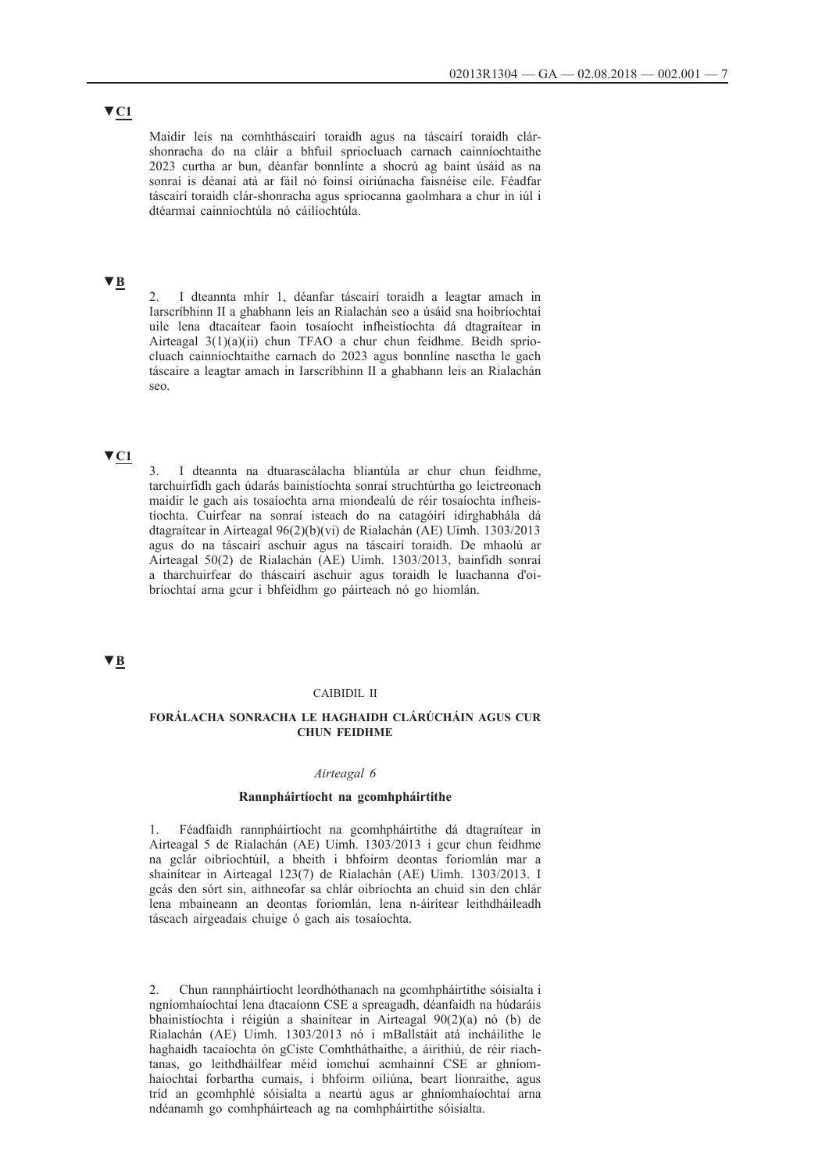Maidir leis na comhtháscairí toraidh agus na táscairí toraidh clárshonracha do na cláir a bhfuil spriocluach carnach cainníochtaithe 2023 curtha ar bun, déanfar bonnlínte a shocrú ag baint úsáid as na sonraí is déanaí atá ar fáil nó foinsí oiriúnacha faisnéise eile. Féadfar táscairí toraidh clár-shonracha agus spriocanna gaolmhara a chur in iúl i dtéarmaí cainníochtúla nó cáilíochtúla.

# **▼B**

2. I dteannta mhír 1, déanfar táscairí toraidh a leagtar amach in Iarscríbhinn II a ghabhann leis an Rialachán seo a úsáid sna hoibríochtaí uile lena dtacaítear faoin tosaíocht infheistíochta dá dtagraítear in Airteagal 3(1)(a)(ii) chun TFAO a chur chun feidhme. Beidh spriocluach cainníochtaithe carnach do 2023 agus bonnlíne nasctha le gach táscaire a leagtar amach in Iarscríbhinn II a ghabhann leis an Rialachán seo.

# **▼C1**

3. I dteannta na dtuarascálacha bliantúla ar chur chun feidhme, tarchuirfidh gach údarás bainistíochta sonraí struchtúrtha go leictreonach maidir le gach ais tosaíochta arna miondealú de réir tosaíochta infheistíochta. Cuirfear na sonraí isteach do na catagóirí idirghabhála dá dtagraítear in Airteagal 96(2)(b)(vi) de Rialachán (AE) Uimh. 1303/2013 agus do na táscairí aschuir agus na táscairí toraidh. De mhaolú ar Airteagal 50(2) de Rialachán (AE) Uimh. 1303/2013, bainfidh sonraí a tharchuirfear do tháscairí aschuir agus toraidh le luachanna d'oibríochtaí arna gcur i bhfeidhm go páirteach nó go hiomlán.

### **▼B**

#### CAIBIDIL II

#### **FORÁLACHA SONRACHA LE HAGHAIDH CLÁRÚCHÁIN AGUS CUR CHUN FEIDHME**

#### *Airteagal 6*

#### **Rannpháirtíocht na gcomhpháirtithe**

1. Féadfaidh rannpháirtíocht na gcomhpháirtithe dá dtagraítear in Airteagal 5 de Rialachán (AE) Uimh. 1303/2013 i gcur chun feidhme na gclár oibríochtúil, a bheith i bhfoirm deontas foriomlán mar a shainítear in Airteagal 123(7) de Rialachán (AE) Uimh. 1303/2013. I gcás den sórt sin, aithneofar sa chlár oibríochta an chuid sin den chlár lena mbaineann an deontas foriomlán, lena n-áirítear leithdháileadh táscach airgeadais chuige ó gach ais tosaíochta.

2. Chun rannpháirtíocht leordhóthanach na gcomhpháirtithe sóisialta i ngníomhaíochtaí lena dtacaíonn CSE a spreagadh, déanfaidh na húdaráis bhainistíochta i réigiún a shainítear in Airteagal 90(2)(a) nó (b) de Rialachán (AE) Uimh. 1303/2013 nó i mBallstáit atá incháilithe le haghaidh tacaíochta ón gCiste Comhtháthaithe, a áirithiú, de réir riachtanas, go leithdháilfear méid iomchuí acmhainní CSE ar ghníomhaíochtaí forbartha cumais, i bhfoirm oiliúna, beart líonraithe, agus tríd an gcomhphlé sóisialta a neartú agus ar ghníomhaíochtaí arna ndéanamh go comhpháirteach ag na comhpháirtithe sóisialta.

# **▼C1**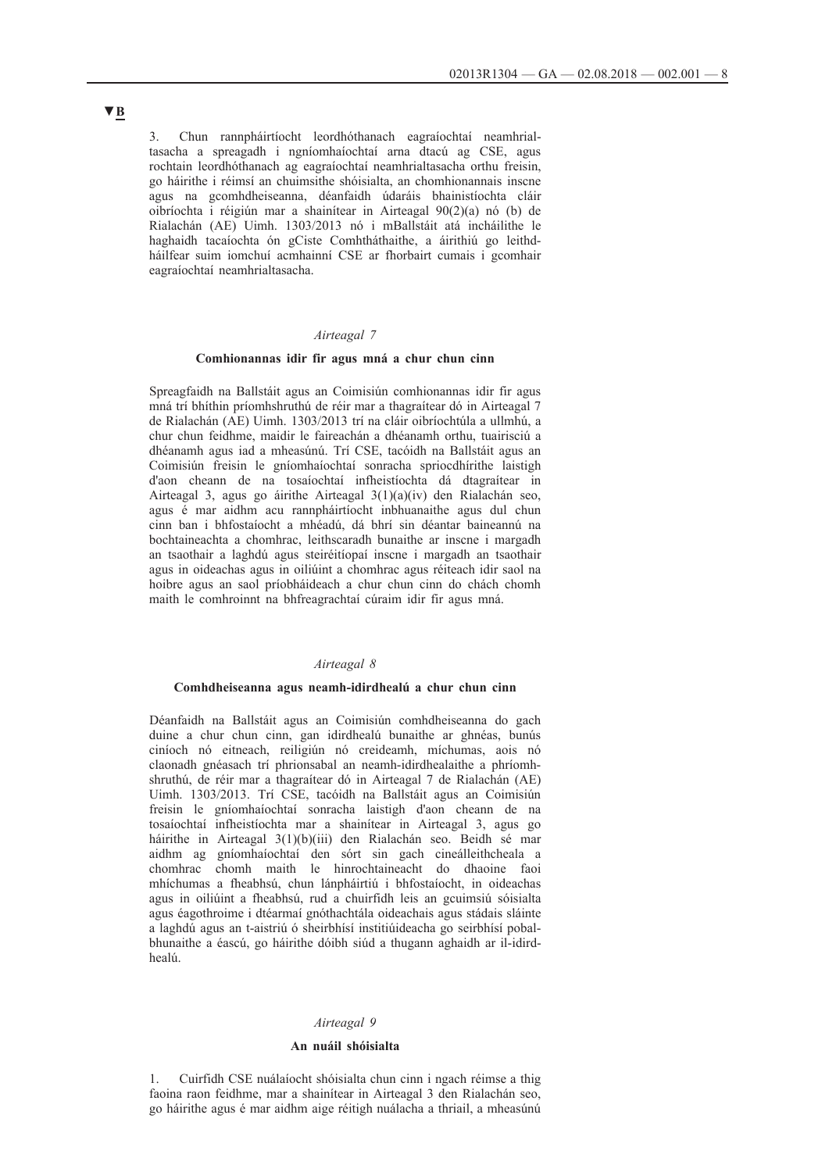3. Chun rannpháirtíocht leordhóthanach eagraíochtaí neamhrialtasacha a spreagadh i ngníomhaíochtaí arna dtacú ag CSE, agus rochtain leordhóthanach ag eagraíochtaí neamhrialtasacha orthu freisin, go háirithe i réimsí an chuimsithe shóisialta, an chomhionannais inscne agus na gcomhdheiseanna, déanfaidh údaráis bhainistíochta cláir oibríochta i réigiún mar a shainítear in Airteagal 90(2)(a) nó (b) de Rialachán (AE) Uimh. 1303/2013 nó i mBallstáit atá incháilithe le haghaidh tacaíochta ón gCiste Comhtháthaithe, a áirithiú go leithdháilfear suim iomchuí acmhainní CSE ar fhorbairt cumais i gcomhair eagraíochtaí neamhrialtasacha.

### *Airteagal 7*

#### **Comhionannas idir fir agus mná a chur chun cinn**

Spreagfaidh na Ballstáit agus an Coimisiún comhionannas idir fir agus mná trí bhíthin príomhshruthú de réir mar a thagraítear dó in Airteagal 7 de Rialachán (AE) Uimh. 1303/2013 trí na cláir oibríochtúla a ullmhú, a chur chun feidhme, maidir le faireachán a dhéanamh orthu, tuairisciú a dhéanamh agus iad a mheasúnú. Trí CSE, tacóidh na Ballstáit agus an Coimisiún freisin le gníomhaíochtaí sonracha spriocdhírithe laistigh d'aon cheann de na tosaíochtaí infheistíochta dá dtagraítear in Airteagal 3, agus go áirithe Airteagal 3(1)(a)(iv) den Rialachán seo, agus é mar aidhm acu rannpháirtíocht inbhuanaithe agus dul chun cinn ban i bhfostaíocht a mhéadú, dá bhrí sin déantar baineannú na bochtaineachta a chomhrac, leithscaradh bunaithe ar inscne i margadh an tsaothair a laghdú agus steiréitíopaí inscne i margadh an tsaothair agus in oideachas agus in oiliúint a chomhrac agus réiteach idir saol na hoibre agus an saol príobháideach a chur chun cinn do chách chomh maith le comhroinnt na bhfreagrachtaí cúraim idir fir agus mná.

#### *Airteagal 8*

#### **Comhdheiseanna agus neamh-idirdhealú a chur chun cinn**

Déanfaidh na Ballstáit agus an Coimisiún comhdheiseanna do gach duine a chur chun cinn, gan idirdhealú bunaithe ar ghnéas, bunús ciníoch nó eitneach, reiligiún nó creideamh, míchumas, aois nó claonadh gnéasach trí phrionsabal an neamh-idirdhealaithe a phríomhshruthú, de réir mar a thagraítear dó in Airteagal 7 de Rialachán (AE) Uimh. 1303/2013. Trí CSE, tacóidh na Ballstáit agus an Coimisiún freisin le gníomhaíochtaí sonracha laistigh d'aon cheann de na tosaíochtaí infheistíochta mar a shainítear in Airteagal 3, agus go háirithe in Airteagal 3(1)(b)(iii) den Rialachán seo. Beidh sé mar aidhm ag gníomhaíochtaí den sórt sin gach cineálleithcheala a chomhrac chomh maith le hinrochtaineacht do dhaoine faoi mhíchumas a fheabhsú, chun lánpháirtiú i bhfostaíocht, in oideachas agus in oiliúint a fheabhsú, rud a chuirfidh leis an gcuimsiú sóisialta agus éagothroime i dtéarmaí gnóthachtála oideachais agus stádais sláinte a laghdú agus an t-aistriú ó sheirbhísí institiúideacha go seirbhísí pobalbhunaithe a éascú, go háirithe dóibh siúd a thugann aghaidh ar il-idirdhealú.

### *Airteagal 9*

#### **An nuáil shóisialta**

1. Cuirfidh CSE nuálaíocht shóisialta chun cinn i ngach réimse a thig faoina raon feidhme, mar a shainítear in Airteagal 3 den Rialachán seo, go háirithe agus é mar aidhm aige réitigh nuálacha a thriail, a mheasúnú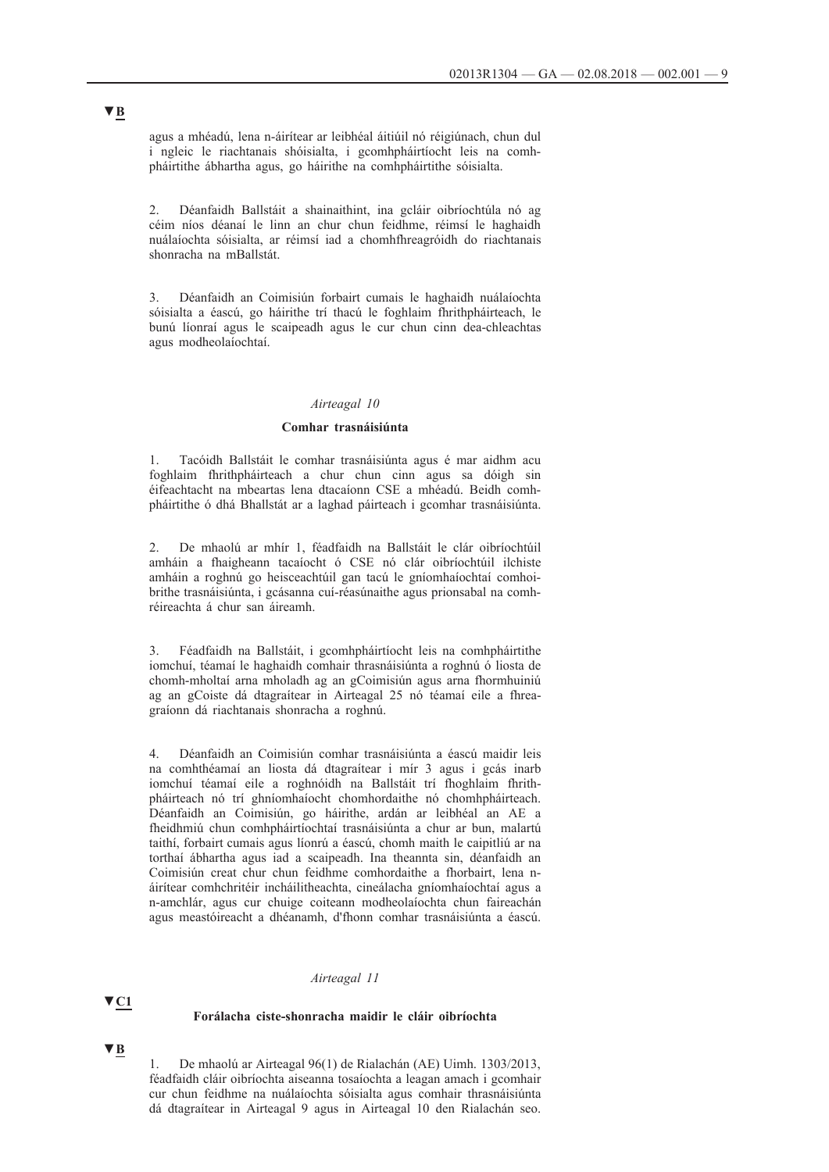agus a mhéadú, lena n-áirítear ar leibhéal áitiúil nó réigiúnach, chun dul i ngleic le riachtanais shóisialta, i gcomhpháirtíocht leis na comhpháirtithe ábhartha agus, go háirithe na comhpháirtithe sóisialta.

2. Déanfaidh Ballstáit a shainaithint, ina gcláir oibríochtúla nó ag céim níos déanaí le linn an chur chun feidhme, réimsí le haghaidh nuálaíochta sóisialta, ar réimsí iad a chomhfhreagróidh do riachtanais shonracha na mBallstát.

3. Déanfaidh an Coimisiún forbairt cumais le haghaidh nuálaíochta sóisialta a éascú, go háirithe trí thacú le foghlaim fhrithpháirteach, le bunú líonraí agus le scaipeadh agus le cur chun cinn dea-chleachtas agus modheolaíochtaí.

### *Airteagal 10*

#### **Comhar trasnáisiúnta**

1. Tacóidh Ballstáit le comhar trasnáisiúnta agus é mar aidhm acu foghlaim fhrithpháirteach a chur chun cinn agus sa dóigh sin éifeachtacht na mbeartas lena dtacaíonn CSE a mhéadú. Beidh comhpháirtithe ó dhá Bhallstát ar a laghad páirteach i gcomhar trasnáisiúnta.

2. De mhaolú ar mhír 1, féadfaidh na Ballstáit le clár oibríochtúil amháin a fhaigheann tacaíocht ó CSE nó clár oibríochtúil ilchiste amháin a roghnú go heisceachtúil gan tacú le gníomhaíochtaí comhoibrithe trasnáisiúnta, i gcásanna cuí-réasúnaithe agus prionsabal na comhréireachta á chur san áireamh.

3. Féadfaidh na Ballstáit, i gcomhpháirtíocht leis na comhpháirtithe iomchuí, téamaí le haghaidh comhair thrasnáisiúnta a roghnú ó liosta de chomh-mholtaí arna mholadh ag an gCoimisiún agus arna fhormhuiniú ag an gCoiste dá dtagraítear in Airteagal 25 nó téamaí eile a fhreagraíonn dá riachtanais shonracha a roghnú.

4. Déanfaidh an Coimisiún comhar trasnáisiúnta a éascú maidir leis na comhthéamaí an liosta dá dtagraítear i mír 3 agus i gcás inarb iomchuí téamaí eile a roghnóidh na Ballstáit trí fhoghlaim fhrithpháirteach nó trí ghníomhaíocht chomhordaithe nó chomhpháirteach. Déanfaidh an Coimisiún, go háirithe, ardán ar leibhéal an AE a fheidhmiú chun comhpháirtíochtaí trasnáisiúnta a chur ar bun, malartú taithí, forbairt cumais agus líonrú a éascú, chomh maith le caipitliú ar na torthaí ábhartha agus iad a scaipeadh. Ina theannta sin, déanfaidh an Coimisiún creat chur chun feidhme comhordaithe a fhorbairt, lena náirítear comhchritéir incháilitheachta, cineálacha gníomhaíochtaí agus a n-amchlár, agus cur chuige coiteann modheolaíochta chun faireachán agus meastóireacht a dhéanamh, d'fhonn comhar trasnáisiúnta a éascú.

#### *Airteagal 11*

# **▼C1**

**▼B**

### **Forálacha ciste-shonracha maidir le cláir oibríochta**

1. De mhaolú ar Airteagal 96(1) de Rialachán (AE) Uimh. 1303/2013, féadfaidh cláir oibríochta aiseanna tosaíochta a leagan amach i gcomhair cur chun feidhme na nuálaíochta sóisialta agus comhair thrasnáisiúnta dá dtagraítear in Airteagal 9 agus in Airteagal 10 den Rialachán seo.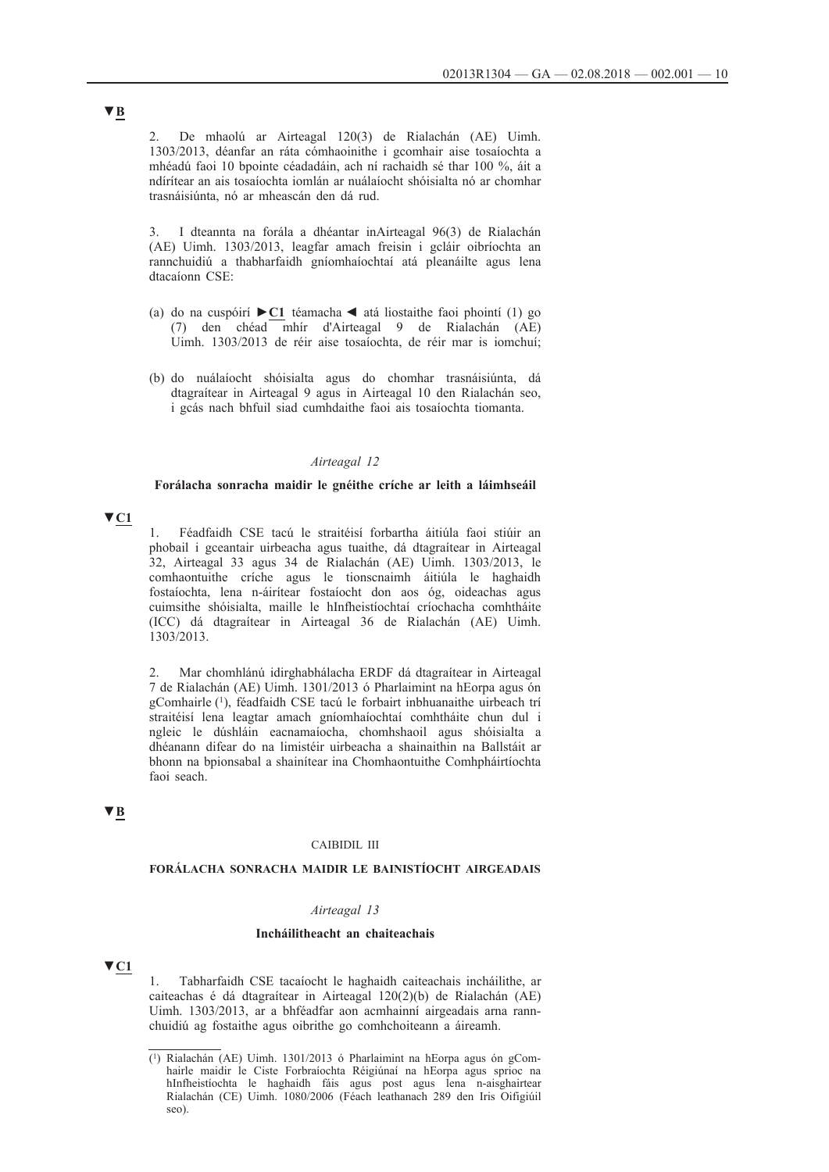2. De mhaolú ar Airteagal 120(3) de Rialachán (AE) Uimh. 1303/2013, déanfar an ráta cómhaoinithe i gcomhair aise tosaíochta a mhéadú faoi 10 bpointe céadadáin, ach ní rachaidh sé thar 100 %, áit a ndírítear an ais tosaíochta iomlán ar nuálaíocht shóisialta nó ar chomhar trasnáisiúnta, nó ar mheascán den dá rud.

3. I dteannta na forála a dhéantar inAirteagal 96(3) de Rialachán (AE) Uimh. 1303/2013, leagfar amach freisin i gcláir oibríochta an rannchuidiú a thabharfaidh gníomhaíochtaí atá pleanáilte agus lena dtacaíonn CSE:

- (a) do na cuspóirí **►C1** téamacha ◄ atá liostaithe faoi phointí (1) go (7) den chéad mhír d'Airteagal 9 de Rialachán (AE) Uimh. 1303/2013 de réir aise tosaíochta, de réir mar is iomchuí;
- (b) do nuálaíocht shóisialta agus do chomhar trasnáisiúnta, dá dtagraítear in Airteagal 9 agus in Airteagal 10 den Rialachán seo, i gcás nach bhfuil siad cumhdaithe faoi ais tosaíochta tiomanta.

#### *Airteagal 12*

#### **Forálacha sonracha maidir le gnéithe críche ar leith a láimhseáil**

# **▼C1**

1. Féadfaidh CSE tacú le straitéisí forbartha áitiúla faoi stiúir an phobail i gceantair uirbeacha agus tuaithe, dá dtagraítear in Airteagal 32, Airteagal 33 agus 34 de Rialachán (AE) Uimh. 1303/2013, le comhaontuithe críche agus le tionscnaimh áitiúla le haghaidh fostaíochta, lena n-áirítear fostaíocht don aos óg, oideachas agus cuimsithe shóisialta, maille le hInfheistíochtaí críochacha comhtháite (ICC) dá dtagraítear in Airteagal 36 de Rialachán (AE) Uimh. 1303/2013.

2. Mar chomhlánú idirghabhálacha ERDF dá dtagraítear in Airteagal 7 de Rialachán (AE) Uimh. 1301/2013 ó Pharlaimint na hEorpa agus ón gComhairle (1), féadfaidh CSE tacú le forbairt inbhuanaithe uirbeach trí straitéisí lena leagtar amach gníomhaíochtaí comhtháite chun dul i ngleic le dúshláin eacnamaíocha, chomhshaoil agus shóisialta a dhéanann difear do na limistéir uirbeacha a shainaithin na Ballstáit ar bhonn na bpionsabal a shainítear ina Chomhaontuithe Comhpháirtíochta faoi seach.

# **▼B**

### CAIBIDIL III

### **FORÁLACHA SONRACHA MAIDIR LE BAINISTÍOCHT AIRGEADAIS**

#### *Airteagal 13*

#### **Incháilitheacht an chaiteachais**

# **▼C1**

1. Tabharfaidh CSE tacaíocht le haghaidh caiteachais incháilithe, ar caiteachas é dá dtagraítear in Airteagal 120(2)(b) de Rialachán (AE) Uimh. 1303/2013, ar a bhféadfar aon acmhainní airgeadais arna rannchuidiú ag fostaithe agus oibrithe go comhchoiteann a áireamh.

<sup>(1)</sup> Rialachán (AE) Uimh. 1301/2013 ó Pharlaimint na hEorpa agus ón gComhairle maidir le Ciste Forbraíochta Réigiúnaí na hEorpa agus sprioc na hInfheistíochta le haghaidh fáis agus post agus lena n-aisghairtear Rialachán (CE) Uimh. 1080/2006 (Féach leathanach 289 den Iris Oifigiúil seo).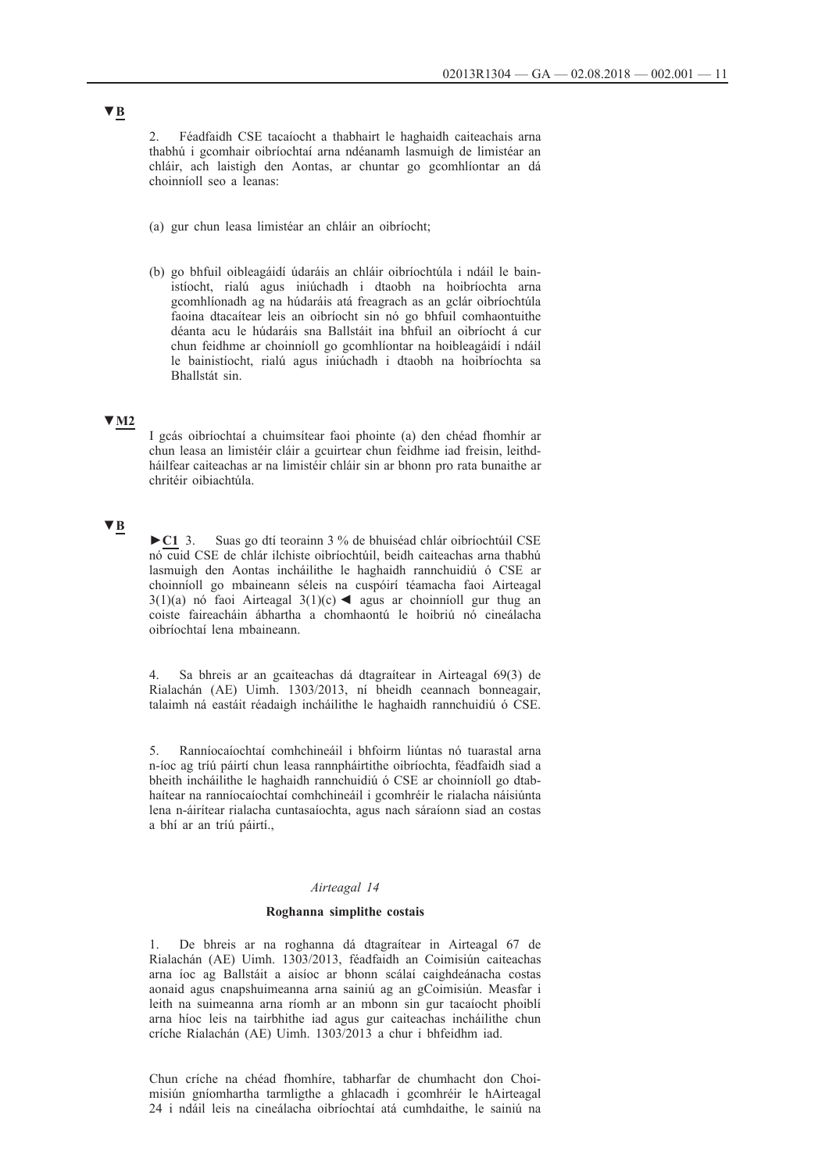2. Féadfaidh CSE tacaíocht a thabhairt le haghaidh caiteachais arna thabhú i gcomhair oibríochtaí arna ndéanamh lasmuigh de limistéar an chláir, ach laistigh den Aontas, ar chuntar go gcomhlíontar an dá choinníoll seo a leanas:

- (a) gur chun leasa limistéar an chláir an oibríocht;
- (b) go bhfuil oibleagáidí údaráis an chláir oibríochtúla i ndáil le bainistíocht, rialú agus iniúchadh i dtaobh na hoibríochta arna gcomhlíonadh ag na húdaráis atá freagrach as an gclár oibríochtúla faoina dtacaítear leis an oibríocht sin nó go bhfuil comhaontuithe déanta acu le húdaráis sna Ballstáit ina bhfuil an oibríocht á cur chun feidhme ar choinníoll go gcomhlíontar na hoibleagáidí i ndáil le bainistíocht, rialú agus iniúchadh i dtaobh na hoibríochta sa Bhallstát sin.

# **▼M2**

I gcás oibríochtaí a chuimsítear faoi phointe (a) den chéad fhomhír ar chun leasa an limistéir cláir a gcuirtear chun feidhme iad freisin, leithdháilfear caiteachas ar na limistéir chláir sin ar bhonn pro rata bunaithe ar chritéir oibiachtúla.

### **▼B**

**►C1** 3. Suas go dtí teorainn 3 % de bhuiséad chlár oibríochtúil CSE nó cuid CSE de chlár ilchiste oibríochtúil, beidh caiteachas arna thabhú lasmuigh den Aontas incháilithe le haghaidh rannchuidiú ó CSE ar choinníoll go mbaineann séleis na cuspóirí téamacha faoi Airteagal 3(1)(a) nó faoi Airteagal 3(1)(c)  $\blacktriangleleft$  agus ar choinníoll gur thug an coiste faireacháin ábhartha a chomhaontú le hoibriú nó cineálacha oibríochtaí lena mbaineann.

4. Sa bhreis ar an gcaiteachas dá dtagraítear in Airteagal 69(3) de Rialachán (AE) Uimh. 1303/2013, ní bheidh ceannach bonneagair, talaimh ná eastáit réadaigh incháilithe le haghaidh rannchuidiú ó CSE.

5. Ranníocaíochtaí comhchineáil i bhfoirm liúntas nó tuarastal arna n-íoc ag tríú páirtí chun leasa rannpháirtithe oibríochta, féadfaidh siad a bheith incháilithe le haghaidh rannchuidiú ó CSE ar choinníoll go dtabhaítear na ranníocaíochtaí comhchineáil i gcomhréir le rialacha náisiúnta lena n-áirítear rialacha cuntasaíochta, agus nach sáraíonn siad an costas a bhí ar an tríú páirtí.,

#### *Airteagal 14*

#### **Roghanna simplithe costais**

1. De bhreis ar na roghanna dá dtagraítear in Airteagal 67 de Rialachán (AE) Uimh. 1303/2013, féadfaidh an Coimisiún caiteachas arna íoc ag Ballstáit a aisíoc ar bhonn scálaí caighdeánacha costas aonaid agus cnapshuimeanna arna sainiú ag an gCoimisiún. Measfar i leith na suimeanna arna ríomh ar an mbonn sin gur tacaíocht phoiblí arna híoc leis na tairbhithe iad agus gur caiteachas incháilithe chun críche Rialachán (AE) Uimh. 1303/2013 a chur i bhfeidhm iad.

Chun críche na chéad fhomhíre, tabharfar de chumhacht don Choimisiún gníomhartha tarmligthe a ghlacadh i gcomhréir le hAirteagal 24 i ndáil leis na cineálacha oibríochtaí atá cumhdaithe, le sainiú na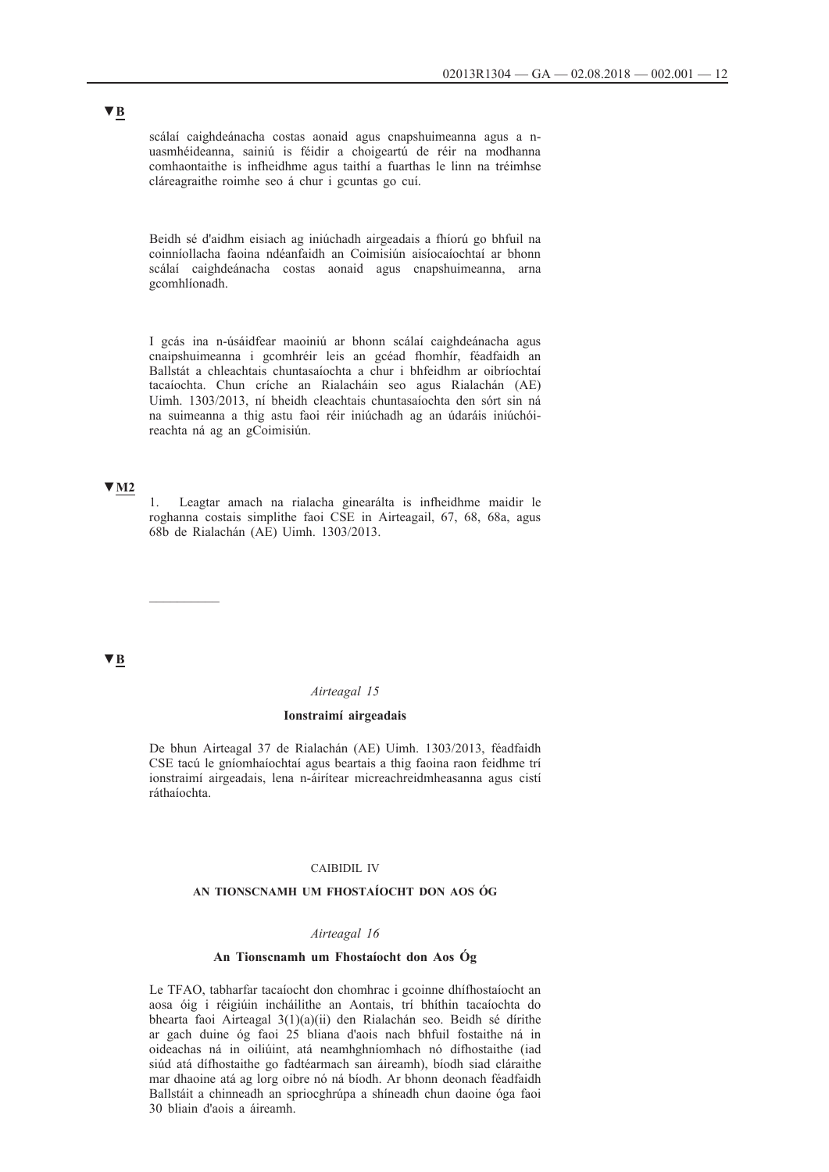scálaí caighdeánacha costas aonaid agus cnapshuimeanna agus a nuasmhéideanna, sainiú is féidir a choigeartú de réir na modhanna comhaontaithe is infheidhme agus taithí a fuarthas le linn na tréimhse cláreagraithe roimhe seo á chur i gcuntas go cuí.

Beidh sé d'aidhm eisiach ag iniúchadh airgeadais a fhíorú go bhfuil na coinníollacha faoina ndéanfaidh an Coimisiún aisíocaíochtaí ar bhonn scálaí caighdeánacha costas aonaid agus cnapshuimeanna, arna gcomhlíonadh.

I gcás ina n-úsáidfear maoiniú ar bhonn scálaí caighdeánacha agus cnaipshuimeanna i gcomhréir leis an gcéad fhomhír, féadfaidh an Ballstát a chleachtais chuntasaíochta a chur i bhfeidhm ar oibríochtaí tacaíochta. Chun críche an Rialacháin seo agus Rialachán (AE) Uimh. 1303/2013, ní bheidh cleachtais chuntasaíochta den sórt sin ná na suimeanna a thig astu faoi réir iniúchadh ag an údaráis iniúchóireachta ná ag an gCoimisiún.

#### **▼M2**

1. Leagtar amach na rialacha ginearálta is infheidhme maidir le roghanna costais simplithe faoi CSE in Airteagail, 67, 68, 68a, agus 68b de Rialachán (AE) Uimh. 1303/2013.

### **▼B**

#### *Airteagal 15*

#### **Ionstraimí airgeadais**

De bhun Airteagal 37 de Rialachán (AE) Uimh. 1303/2013, féadfaidh CSE tacú le gníomhaíochtaí agus beartais a thig faoina raon feidhme trí ionstraimí airgeadais, lena n-áirítear micreachreidmheasanna agus cistí ráthaíochta.

#### CAIBIDIL IV

### **AN TIONSCNAMH UM FHOSTAÍOCHT DON AOS ÓG**

#### *Airteagal 16*

#### **An Tionscnamh um Fhostaíocht don Aos Óg**

Le TFAO, tabharfar tacaíocht don chomhrac i gcoinne dhífhostaíocht an aosa óig i réigiúin incháilithe an Aontais, trí bhíthin tacaíochta do bhearta faoi Airteagal 3(1)(a)(ii) den Rialachán seo. Beidh sé dírithe ar gach duine óg faoi 25 bliana d'aois nach bhfuil fostaithe ná in oideachas ná in oiliúint, atá neamhghníomhach nó dífhostaithe (iad siúd atá dífhostaithe go fadtéarmach san áireamh), bíodh siad cláraithe mar dhaoine atá ag lorg oibre nó ná bíodh. Ar bhonn deonach féadfaidh Ballstáit a chinneadh an spriocghrúpa a shíneadh chun daoine óga faoi 30 bliain d'aois a áireamh.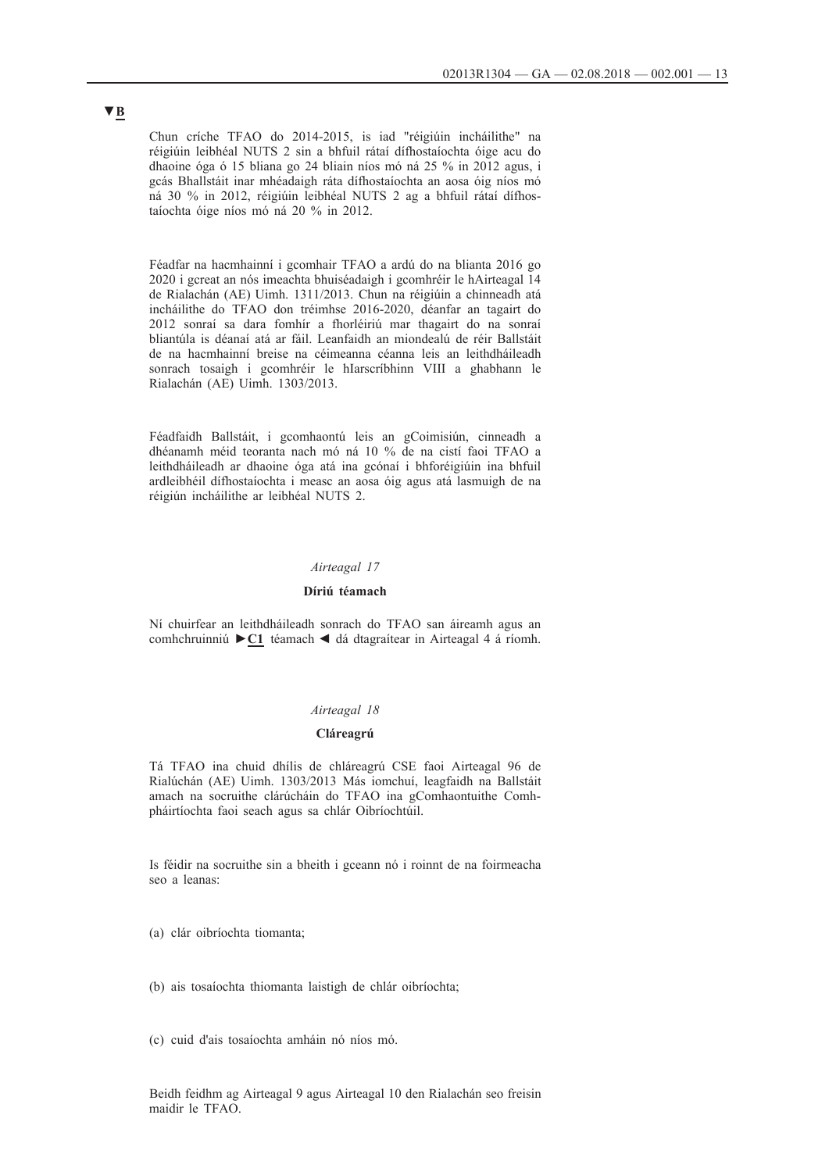Chun críche TFAO do 2014-2015, is iad "réigiúin incháilithe" na réigiúin leibhéal NUTS 2 sin a bhfuil rátaí dífhostaíochta óige acu do dhaoine óga ó 15 bliana go 24 bliain níos mó ná 25 % in 2012 agus, i gcás Bhallstáit inar mhéadaigh ráta dífhostaíochta an aosa óig níos mó ná 30 % in 2012, réigiúin leibhéal NUTS 2 ag a bhfuil rátaí dífhostaíochta óige níos mó ná 20 % in 2012.

Féadfar na hacmhainní i gcomhair TFAO a ardú do na blianta 2016 go 2020 i gcreat an nós imeachta bhuiséadaigh i gcomhréir le hAirteagal 14 de Rialachán (AE) Uimh. 1311/2013. Chun na réigiúin a chinneadh atá incháilithe do TFAO don tréimhse 2016-2020, déanfar an tagairt do 2012 sonraí sa dara fomhír a fhorléiriú mar thagairt do na sonraí bliantúla is déanaí atá ar fáil. Leanfaidh an miondealú de réir Ballstáit de na hacmhainní breise na céimeanna céanna leis an leithdháileadh sonrach tosaigh i gcomhréir le hIarscríbhinn VIII a ghabhann le Rialachán (AE) Uimh. 1303/2013.

Féadfaidh Ballstáit, i gcomhaontú leis an gCoimisiún, cinneadh a dhéanamh méid teoranta nach mó ná 10 % de na cistí faoi TFAO a leithdháileadh ar dhaoine óga atá ina gcónaí i bhforéigiúin ina bhfuil ardleibhéil dífhostaíochta i measc an aosa óig agus atá lasmuigh de na réigiún incháilithe ar leibhéal NUTS 2.

#### *Airteagal 17*

#### **Díriú téamach**

Ní chuirfear an leithdháileadh sonrach do TFAO san áireamh agus an comhchruinniú **►C1** téamach ◄ dá dtagraítear in Airteagal 4 á ríomh.

#### *Airteagal 18*

#### **Cláreagrú**

Tá TFAO ina chuid dhílis de chláreagrú CSE faoi Airteagal 96 de Rialúchán (AE) Uimh. 1303/2013 Más iomchuí, leagfaidh na Ballstáit amach na socruithe clárúcháin do TFAO ina gComhaontuithe Comhpháirtíochta faoi seach agus sa chlár Oibríochtúil.

Is féidir na socruithe sin a bheith i gceann nó i roinnt de na foirmeacha seo a leanas:

(a) clár oibríochta tiomanta;

(b) ais tosaíochta thiomanta laistigh de chlár oibríochta;

(c) cuid d'ais tosaíochta amháin nó níos mó.

Beidh feidhm ag Airteagal 9 agus Airteagal 10 den Rialachán seo freisin maidir le TFAO.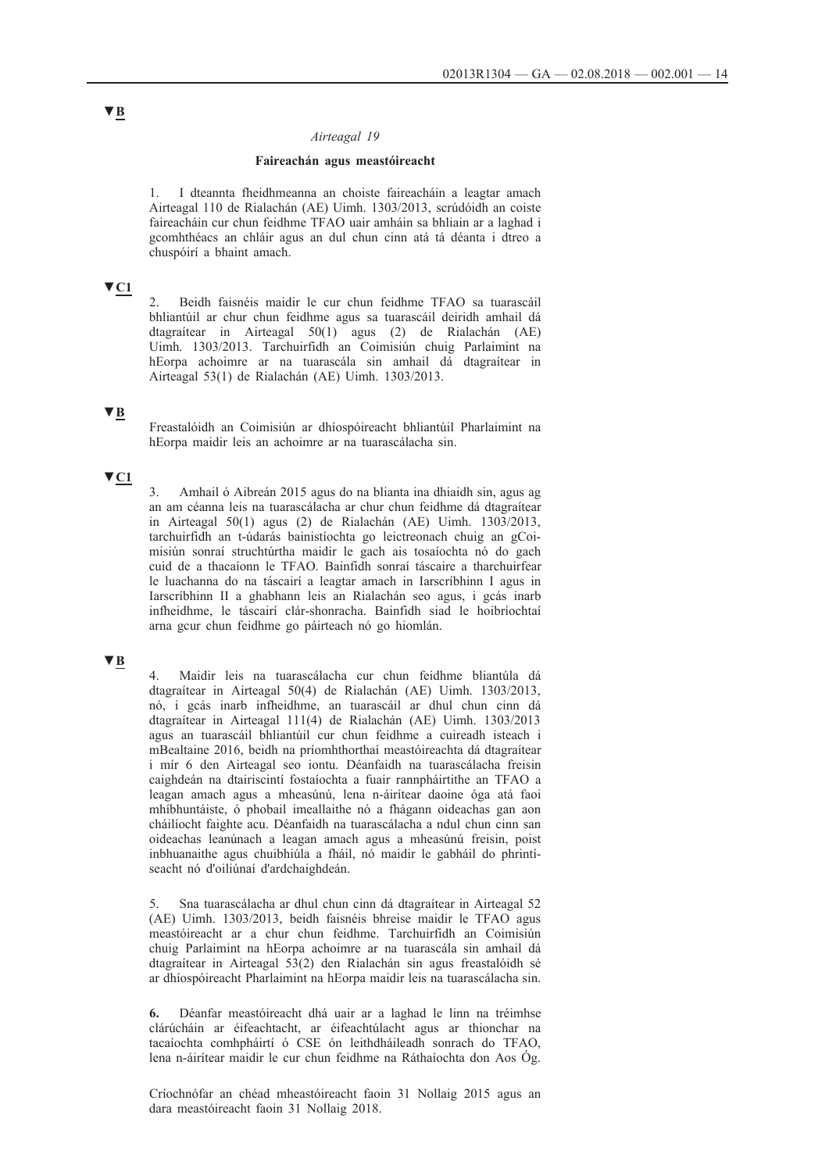#### *Airteagal 19*

#### **Faireachán agus meastóireacht**

1. I dteannta fheidhmeanna an choiste faireacháin a leagtar amach Airteagal 110 de Rialachán (AE) Uimh. 1303/2013, scrúdóidh an coiste faireacháin cur chun feidhme TFAO uair amháin sa bhliain ar a laghad i gcomhthéacs an chláir agus an dul chun cinn atá tá déanta i dtreo a chuspóirí a bhaint amach.

# **▼C1**

2. Beidh faisnéis maidir le cur chun feidhme TFAO sa tuarascáil bhliantúil ar chur chun feidhme agus sa tuarascáil deiridh amhail dá dtagraítear in Airteagal 50(1) agus (2) de Rialachán (AE) Uimh. 1303/2013. Tarchuirfidh an Coimisiún chuig Parlaimint na hEorpa achoimre ar na tuarascála sin amhail dá dtagraítear in Airteagal 53(1) de Rialachán (AE) Uimh. 1303/2013.

# **▼B**

Freastalóidh an Coimisiún ar dhíospóireacht bhliantúil Pharlaimint na hEorpa maidir leis an achoimre ar na tuarascálacha sin.

### **▼C1**

3. Amhail ó Aibreán 2015 agus do na blianta ina dhiaidh sin, agus ag an am céanna leis na tuarascálacha ar chur chun feidhme dá dtagraítear in Airteagal 50(1) agus (2) de Rialachán (AE) Uimh. 1303/2013, tarchuirfidh an t-údarás bainistíochta go leictreonach chuig an gCoimisiún sonraí struchtúrtha maidir le gach ais tosaíochta nó do gach cuid de a thacaíonn le TFAO. Bainfidh sonraí táscaire a tharchuirfear le luachanna do na táscairí a leagtar amach in Iarscríbhinn I agus in Iarscríbhinn II a ghabhann leis an Rialachán seo agus, i gcás inarb infheidhme, le táscairí clár-shonracha. Bainfidh siad le hoibríochtaí arna gcur chun feidhme go páirteach nó go hiomlán.

### **▼B**

4. Maidir leis na tuarascálacha cur chun feidhme bliantúla dá dtagraítear in Airteagal 50(4) de Rialachán (AE) Uimh. 1303/2013, nó, i gcás inarb infheidhme, an tuarascáil ar dhul chun cinn dá dtagraítear in Airteagal 111(4) de Rialachán (AE) Uimh. 1303/2013 agus an tuarascáil bhliantúil cur chun feidhme a cuireadh isteach i mBealtaine 2016, beidh na príomhthorthaí meastóireachta dá dtagraítear i mír 6 den Airteagal seo iontu. Déanfaidh na tuarascálacha freisin caighdeán na dtairiscintí fostaíochta a fuair rannpháirtithe an TFAO a leagan amach agus a mheasúnú, lena n-áirítear daoine óga atá faoi mhíbhuntáiste, ó phobail imeallaithe nó a fhágann oideachas gan aon cháilíocht faighte acu. Déanfaidh na tuarascálacha a ndul chun cinn san oideachas leanúnach a leagan amach agus a mheasúnú freisin, poist inbhuanaithe agus chuibhiúla a fháil, nó maidir le gabháil do phrintíseacht nó d'oiliúnaí d'ardchaighdeán.

5. Sna tuarascálacha ar dhul chun cinn dá dtagraítear in Airteagal 52 (AE) Uimh. 1303/2013, beidh faisnéis bhreise maidir le TFAO agus meastóireacht ar a chur chun feidhme. Tarchuirfidh an Coimisiún chuig Parlaimint na hEorpa achoimre ar na tuarascála sin amhail dá dtagraítear in Airteagal 53(2) den Rialachán sin agus freastalóidh sé ar dhíospóireacht Pharlaimint na hEorpa maidir leis na tuarascálacha sin.

**6.** Déanfar meastóireacht dhá uair ar a laghad le linn na tréimhse clárúcháin ar éifeachtacht, ar éifeachtúlacht agus ar thionchar na tacaíochta comhpháirtí ó CSE ón leithdháileadh sonrach do TFAO, lena n-áirítear maidir le cur chun feidhme na Ráthaíochta don Aos Óg.

Críochnófar an chéad mheastóireacht faoin 31 Nollaig 2015 agus an dara meastóireacht faoin 31 Nollaig 2018.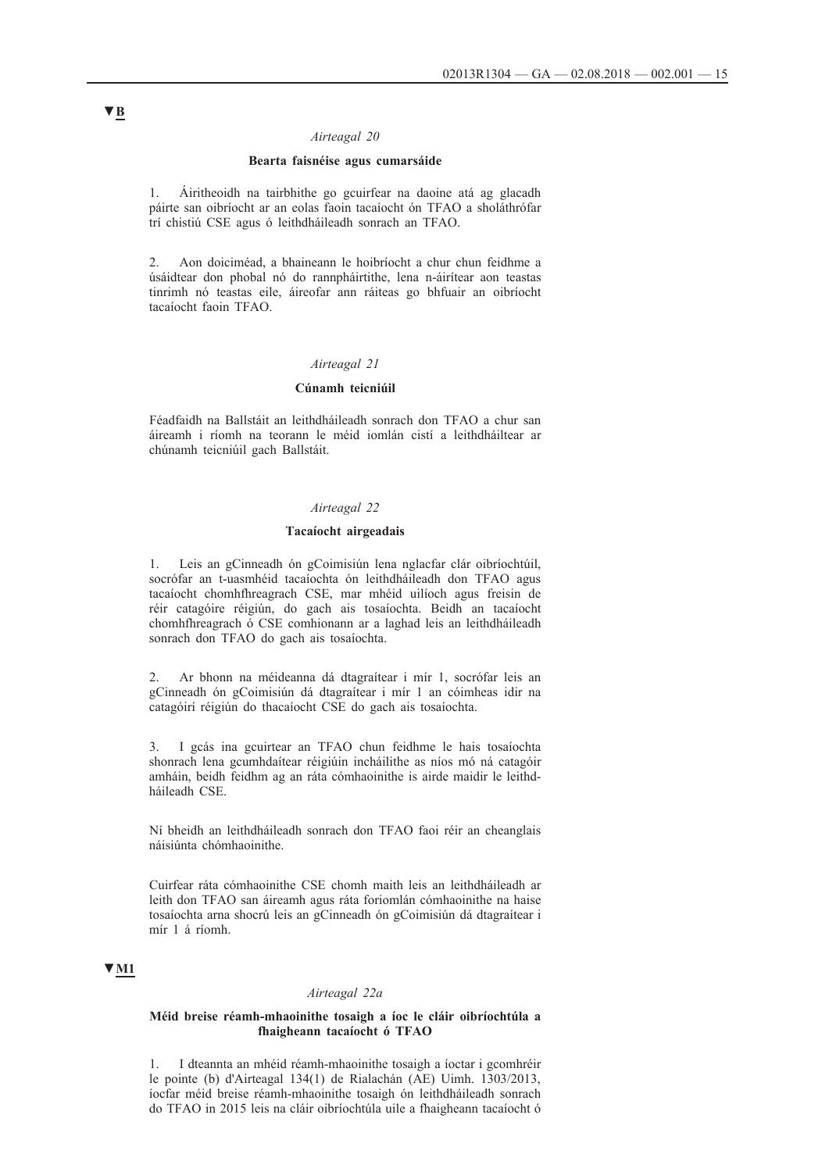#### *Airteagal 20*

#### **Bearta faisnéise agus cumarsáide**

1. Áiritheoidh na tairbhithe go gcuirfear na daoine atá ag glacadh páirte san oibríocht ar an eolas faoin tacaíocht ón TFAO a sholáthrófar trí chistiú CSE agus ó leithdháileadh sonrach an TFAO.

2. Aon doiciméad, a bhaineann le hoibríocht a chur chun feidhme a úsáidtear don phobal nó do rannpháirtithe, lena n-áirítear aon teastas tinrimh nó teastas eile, áireofar ann ráiteas go bhfuair an oibríocht tacaíocht faoin TFAO.

#### *Airteagal 21*

### **Cúnamh teicniúil**

Féadfaidh na Ballstáit an leithdháileadh sonrach don TFAO a chur san áireamh i ríomh na teorann le méid iomlán cistí a leithdháiltear ar chúnamh teicniúil gach Ballstáit.

#### *Airteagal 22*

#### **Tacaíocht airgeadais**

1. Leis an gCinneadh ón gCoimisiún lena nglacfar clár oibríochtúil, socrófar an t-uasmhéid tacaíochta ón leithdháileadh don TFAO agus tacaíocht chomhfhreagrach CSE, mar mhéid uilíoch agus freisin de réir catagóire réigiún, do gach ais tosaíochta. Beidh an tacaíocht chomhfhreagrach ó CSE comhionann ar a laghad leis an leithdháileadh sonrach don TFAO do gach ais tosaíochta.

2. Ar bhonn na méideanna dá dtagraítear i mír 1, socrófar leis an gCinneadh ón gCoimisiún dá dtagraítear i mír 1 an cóimheas idir na catagóirí réigiún do thacaíocht CSE do gach ais tosaíochta.

3. I gcás ina gcuirtear an TFAO chun feidhme le hais tosaíochta shonrach lena gcumhdaítear réigiúin incháilithe as níos mó ná catagóir amháin, beidh feidhm ag an ráta cómhaoinithe is airde maidir le leithdháileadh CSE.

Ní bheidh an leithdháileadh sonrach don TFAO faoi réir an cheanglais náisiúnta chómhaoinithe.

Cuirfear ráta cómhaoinithe CSE chomh maith leis an leithdháileadh ar leith don TFAO san áireamh agus ráta foriomlán cómhaoinithe na haise tosaíochta arna shocrú leis an gCinneadh ón gCoimisiún dá dtagraítear i mír 1 á ríomh.

#### **▼M1**

#### *Airteagal 22a*

#### **Méid breise réamh-mhaoinithe tosaigh a íoc le cláir oibríochtúla a fhaigheann tacaíocht ó TFAO**

1. I dteannta an mhéid réamh-mhaoinithe tosaigh a íoctar i gcomhréir le pointe (b) d'Airteagal 134(1) de Rialachán (AE) Uimh. 1303/2013, íocfar méid breise réamh-mhaoinithe tosaigh ón leithdháileadh sonrach do TFAO in 2015 leis na cláir oibríochtúla uile a fhaigheann tacaíocht ó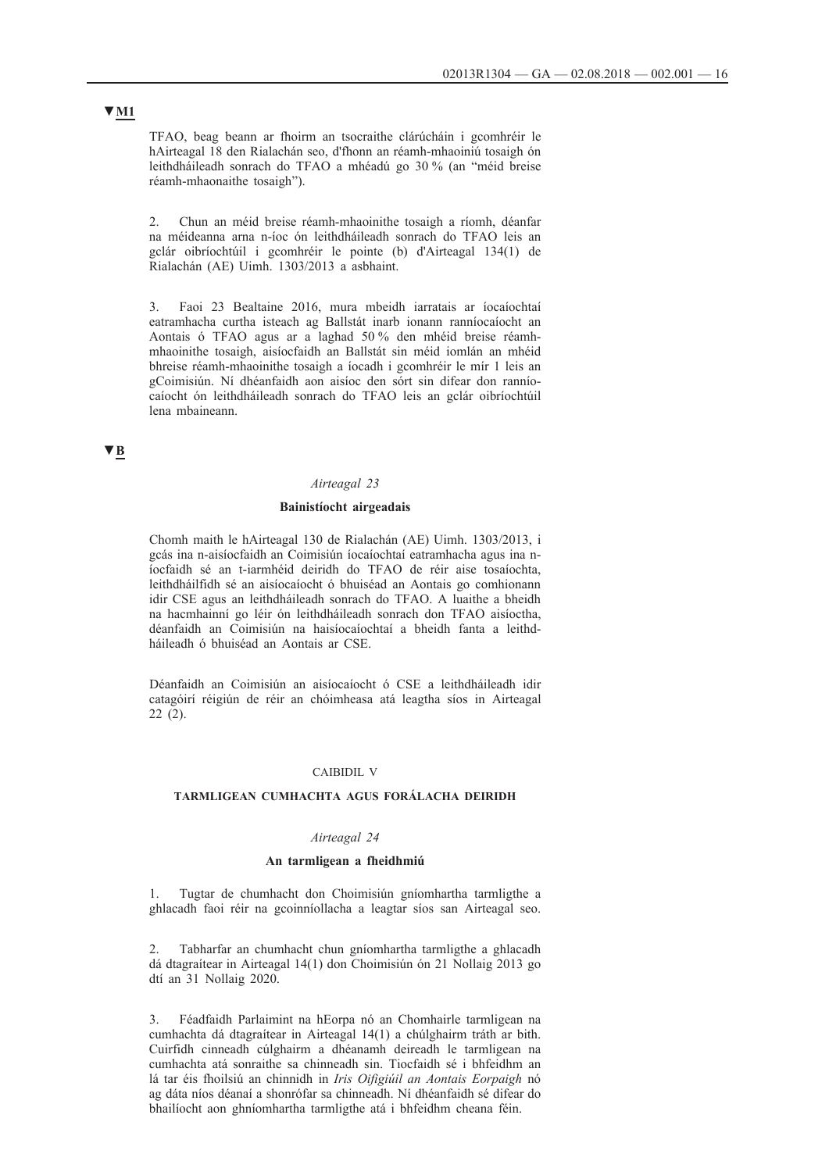TFAO, beag beann ar fhoirm an tsocraithe clárúcháin i gcomhréir le hAirteagal 18 den Rialachán seo, d'fhonn an réamh-mhaoiniú tosaigh ón leithdháileadh sonrach do TFAO a mhéadú go 30 % (an "méid breise réamh-mhaonaithe tosaigh").

2. Chun an méid breise réamh-mhaoinithe tosaigh a ríomh, déanfar na méideanna arna n-íoc ón leithdháileadh sonrach do TFAO leis an gclár oibríochtúil i gcomhréir le pointe (b) d'Airteagal 134(1) de Rialachán (AE) Uimh. 1303/2013 a asbhaint.

3. Faoi 23 Bealtaine 2016, mura mbeidh iarratais ar íocaíochtaí eatramhacha curtha isteach ag Ballstát inarb ionann ranníocaíocht an Aontais ó TFAO agus ar a laghad 50 % den mhéid breise réamhmhaoinithe tosaigh, aisíocfaidh an Ballstát sin méid iomlán an mhéid bhreise réamh-mhaoinithe tosaigh a íocadh i gcomhréir le mír 1 leis an gCoimisiún. Ní dhéanfaidh aon aisíoc den sórt sin difear don ranníocaíocht ón leithdháileadh sonrach do TFAO leis an gclár oibríochtúil lena mbaineann.

### **▼B**

#### *Airteagal 23*

#### **Bainistíocht airgeadais**

Chomh maith le hAirteagal 130 de Rialachán (AE) Uimh. 1303/2013, i gcás ina n-aisíocfaidh an Coimisiún íocaíochtaí eatramhacha agus ina níocfaidh sé an t-iarmhéid deiridh do TFAO de réir aise tosaíochta, leithdháilfidh sé an aisíocaíocht ó bhuiséad an Aontais go comhionann idir CSE agus an leithdháileadh sonrach do TFAO. A luaithe a bheidh na hacmhainní go léir ón leithdháileadh sonrach don TFAO aisíoctha, déanfaidh an Coimisiún na haisíocaíochtaí a bheidh fanta a leithdháileadh ó bhuiséad an Aontais ar CSE.

Déanfaidh an Coimisiún an aisíocaíocht ó CSE a leithdháileadh idir catagóirí réigiún de réir an chóimheasa atá leagtha síos in Airteagal 22 (2).

#### CAIBIDIL V

#### **TARMLIGEAN CUMHACHTA AGUS FORÁLACHA DEIRIDH**

#### *Airteagal 24*

#### **An tarmligean a fheidhmiú**

1. Tugtar de chumhacht don Choimisiún gníomhartha tarmligthe a ghlacadh faoi réir na gcoinníollacha a leagtar síos san Airteagal seo.

2. Tabharfar an chumhacht chun gníomhartha tarmligthe a ghlacadh dá dtagraítear in Airteagal 14(1) don Choimisiún ón 21 Nollaig 2013 go dtí an 31 Nollaig 2020.

3. Féadfaidh Parlaimint na hEorpa nó an Chomhairle tarmligean na cumhachta dá dtagraítear in Airteagal 14(1) a chúlghairm tráth ar bith. Cuirfidh cinneadh cúlghairm a dhéanamh deireadh le tarmligean na cumhachta atá sonraithe sa chinneadh sin. Tiocfaidh sé i bhfeidhm an lá tar éis fhoilsiú an chinnidh in *Iris Oifigiúil an Aontais Eorpaigh* nó ag dáta níos déanaí a shonrófar sa chinneadh. Ní dhéanfaidh sé difear do bhailíocht aon ghníomhartha tarmligthe atá i bhfeidhm cheana féin.

# **▼M1**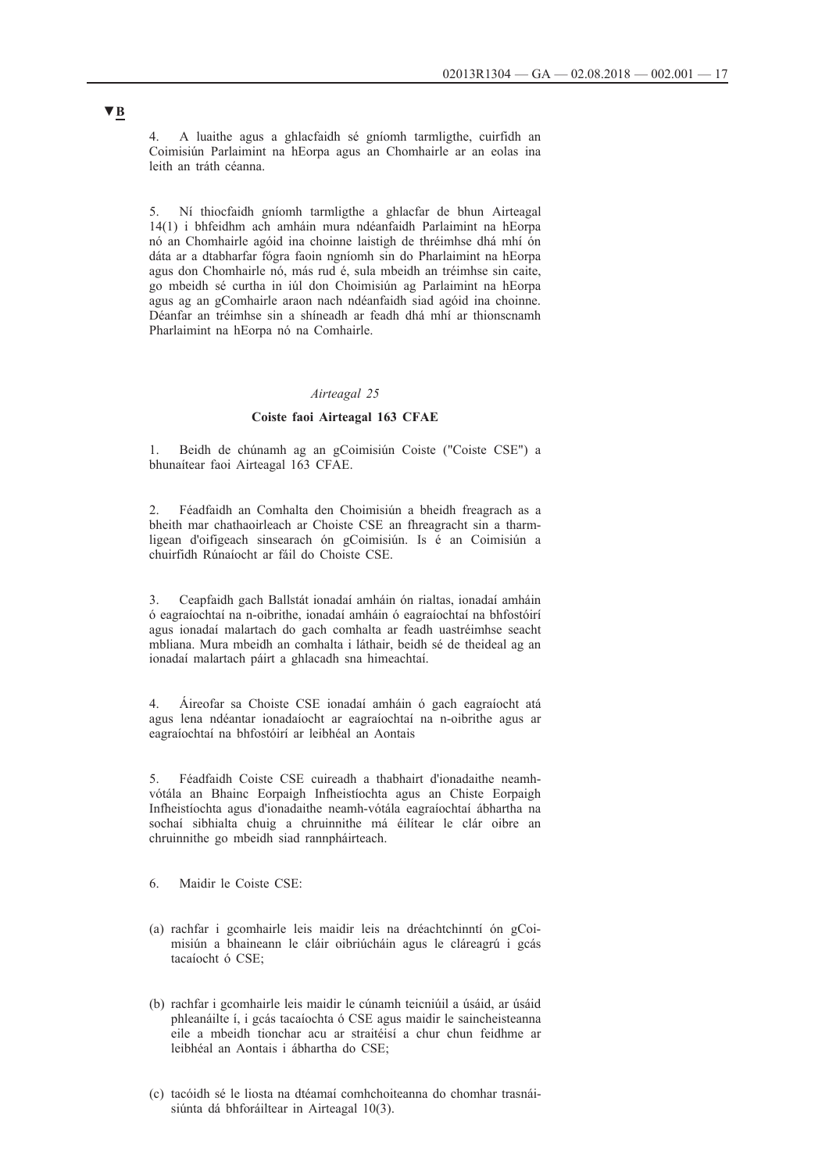4. A luaithe agus a ghlacfaidh sé gníomh tarmligthe, cuirfidh an Coimisiún Parlaimint na hEorpa agus an Chomhairle ar an eolas ina leith an tráth céanna.

5. Ní thiocfaidh gníomh tarmligthe a ghlacfar de bhun Airteagal 14(1) i bhfeidhm ach amháin mura ndéanfaidh Parlaimint na hEorpa nó an Chomhairle agóid ina choinne laistigh de thréimhse dhá mhí ón dáta ar a dtabharfar fógra faoin ngníomh sin do Pharlaimint na hEorpa agus don Chomhairle nó, más rud é, sula mbeidh an tréimhse sin caite, go mbeidh sé curtha in iúl don Choimisiún ag Parlaimint na hEorpa agus ag an gComhairle araon nach ndéanfaidh siad agóid ina choinne. Déanfar an tréimhse sin a shíneadh ar feadh dhá mhí ar thionscnamh Pharlaimint na hEorpa nó na Comhairle.

#### *Airteagal 25*

#### **Coiste faoi Airteagal 163 CFAE**

1. Beidh de chúnamh ag an gCoimisiún Coiste ("Coiste CSE") a bhunaítear faoi Airteagal 163 CFAE.

2. Féadfaidh an Comhalta den Choimisiún a bheidh freagrach as a bheith mar chathaoirleach ar Choiste CSE an fhreagracht sin a tharmligean d'oifigeach sinsearach ón gCoimisiún. Is é an Coimisiún a chuirfidh Rúnaíocht ar fáil do Choiste CSE.

3. Ceapfaidh gach Ballstát ionadaí amháin ón rialtas, ionadaí amháin ó eagraíochtaí na n-oibrithe, ionadaí amháin ó eagraíochtaí na bhfostóirí agus ionadaí malartach do gach comhalta ar feadh uastréimhse seacht mbliana. Mura mbeidh an comhalta i láthair, beidh sé de theideal ag an ionadaí malartach páirt a ghlacadh sna himeachtaí.

4. Áireofar sa Choiste CSE ionadaí amháin ó gach eagraíocht atá agus lena ndéantar ionadaíocht ar eagraíochtaí na n-oibrithe agus ar eagraíochtaí na bhfostóirí ar leibhéal an Aontais

5. Féadfaidh Coiste CSE cuireadh a thabhairt d'ionadaithe neamhvótála an Bhainc Eorpaigh Infheistíochta agus an Chiste Eorpaigh Infheistíochta agus d'ionadaithe neamh-vótála eagraíochtaí ábhartha na sochaí sibhialta chuig a chruinnithe má éilítear le clár oibre an chruinnithe go mbeidh siad rannpháirteach.

6. Maidir le Coiste CSE:

- (a) rachfar i gcomhairle leis maidir leis na dréachtchinntí ón gCoimisiún a bhaineann le cláir oibriúcháin agus le cláreagrú i gcás tacaíocht ó CSE;
- (b) rachfar i gcomhairle leis maidir le cúnamh teicniúil a úsáid, ar úsáid phleanáilte í, i gcás tacaíochta ó CSE agus maidir le saincheisteanna eile a mbeidh tionchar acu ar straitéisí a chur chun feidhme ar leibhéal an Aontais i ábhartha do CSE;
- (c) tacóidh sé le liosta na dtéamaí comhchoiteanna do chomhar trasnáisiúnta dá bhforáiltear in Airteagal 10(3).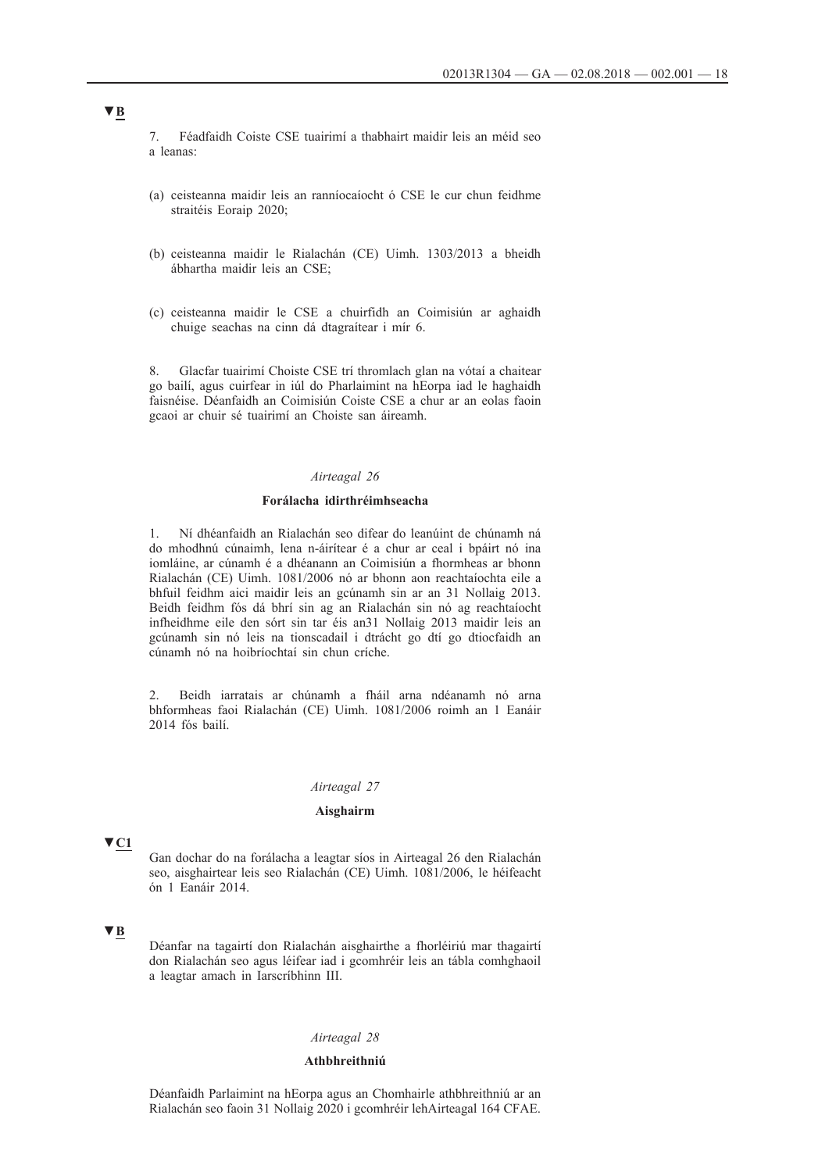7. Féadfaidh Coiste CSE tuairimí a thabhairt maidir leis an méid seo a leanas:

- (a) ceisteanna maidir leis an ranníocaíocht ó CSE le cur chun feidhme straitéis Eoraip 2020;
- (b) ceisteanna maidir le Rialachán (CE) Uimh. 1303/2013 a bheidh ábhartha maidir leis an CSE;
- (c) ceisteanna maidir le CSE a chuirfidh an Coimisiún ar aghaidh chuige seachas na cinn dá dtagraítear i mír 6.

8. Glacfar tuairimí Choiste CSE trí thromlach glan na vótaí a chaitear go bailí, agus cuirfear in iúl do Pharlaimint na hEorpa iad le haghaidh faisnéise. Déanfaidh an Coimisiún Coiste CSE a chur ar an eolas faoin gcaoi ar chuir sé tuairimí an Choiste san áireamh.

### *Airteagal 26*

#### **Forálacha idirthréimhseacha**

1. Ní dhéanfaidh an Rialachán seo difear do leanúint de chúnamh ná do mhodhnú cúnaimh, lena n-áirítear é a chur ar ceal i bpáirt nó ina iomláine, ar cúnamh é a dhéanann an Coimisiún a fhormheas ar bhonn Rialachán (CE) Uimh. 1081/2006 nó ar bhonn aon reachtaíochta eile a bhfuil feidhm aici maidir leis an gcúnamh sin ar an 31 Nollaig 2013. Beidh feidhm fós dá bhrí sin ag an Rialachán sin nó ag reachtaíocht infheidhme eile den sórt sin tar éis an31 Nollaig 2013 maidir leis an gcúnamh sin nó leis na tionscadail i dtrácht go dtí go dtiocfaidh an cúnamh nó na hoibríochtaí sin chun críche.

2. Beidh iarratais ar chúnamh a fháil arna ndéanamh nó arna bhformheas faoi Rialachán (CE) Uimh. 1081/2006 roimh an 1 Eanáir 2014 fós bailí.

### *Airteagal 27*

#### **Aisghairm**

### **▼C1**

Gan dochar do na forálacha a leagtar síos in Airteagal 26 den Rialachán seo, aisghairtear leis seo Rialachán (CE) Uimh. 1081/2006, le héifeacht ón 1 Eanáir 2014.

### **▼B**

Déanfar na tagairtí don Rialachán aisghairthe a fhorléiriú mar thagairtí don Rialachán seo agus léifear iad i gcomhréir leis an tábla comhghaoil a leagtar amach in Iarscríbhinn III.

#### *Airteagal 28*

#### **Athbhreithniú**

Déanfaidh Parlaimint na hEorpa agus an Chomhairle athbhreithniú ar an Rialachán seo faoin 31 Nollaig 2020 i gcomhréir lehAirteagal 164 CFAE.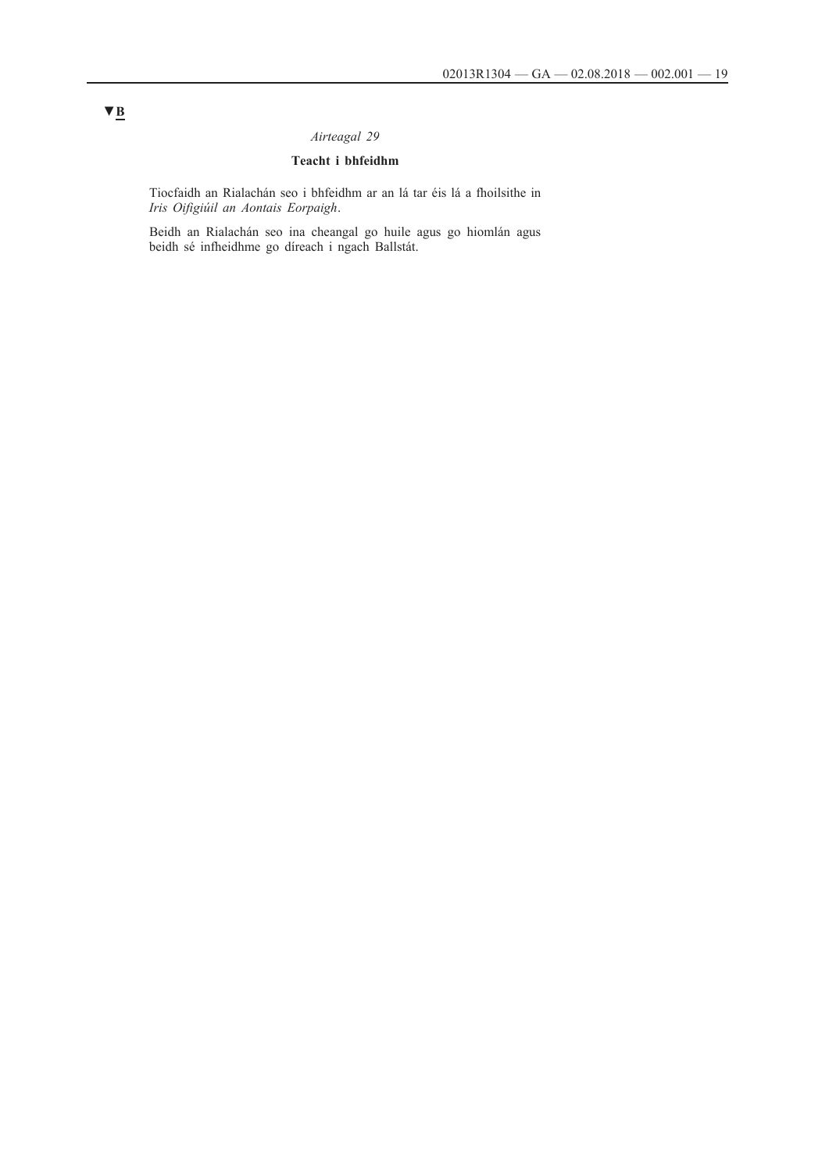# *Airteagal 29*

# **Teacht i bhfeidhm**

Tiocfaidh an Rialachán seo i bhfeidhm ar an lá tar éis lá a fhoilsithe in *Iris Oifigiúil an Aontais Eorpaigh*.

Beidh an Rialachán seo ina cheangal go huile agus go hiomlán agus beidh sé infheidhme go díreach i ngach Ballstát.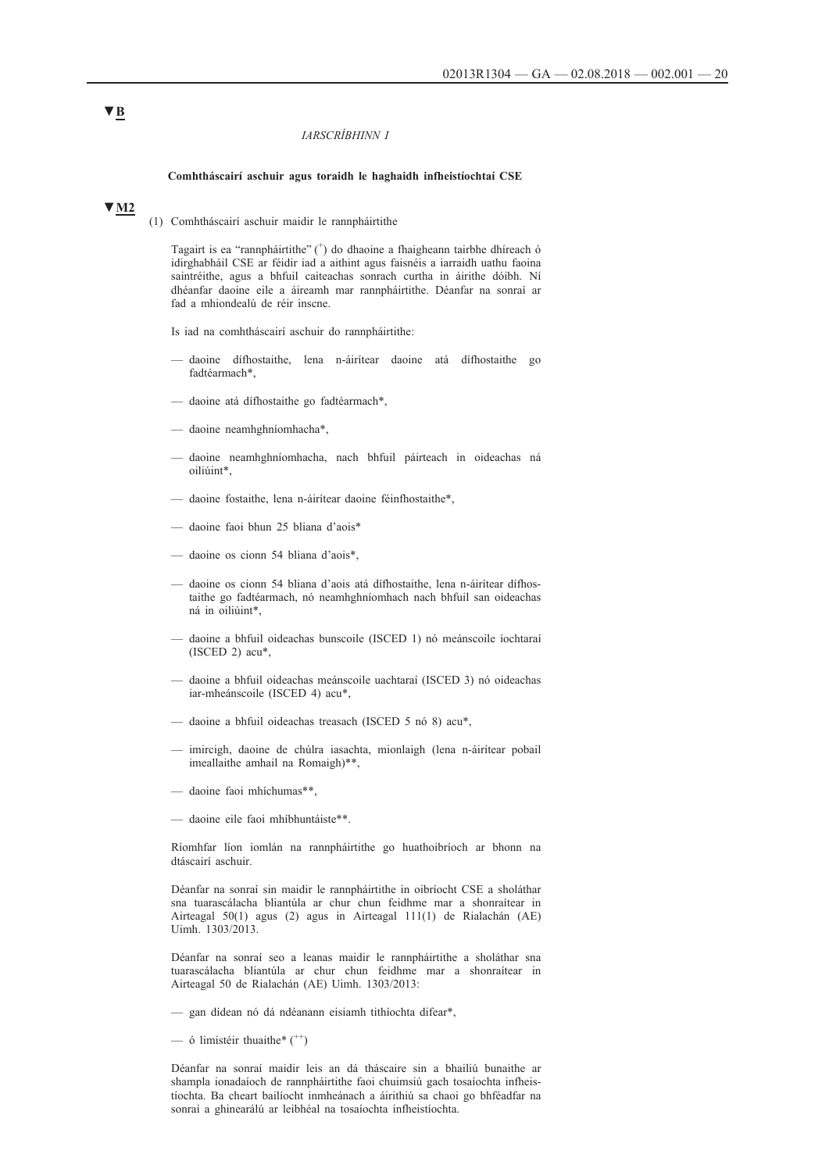#### *IARSCRÍBHINN I*

#### **Comhtháscairí aschuir agus toraidh le haghaidh infheistíochtaí CSE**

### **▼M2**

(1) Comhtháscairí aschuir maidir le rannpháirtithe

Tagairt is ea "rannpháirtithe" (+ ) do dhaoine a fhaigheann tairbhe dhíreach ó idirghabháil CSE ar féidir iad a aithint agus faisnéis a iarraidh uathu faoina saintréithe, agus a bhfuil caiteachas sonrach curtha in áirithe dóibh. Ní dhéanfar daoine eile a áireamh mar rannpháirtithe. Déanfar na sonraí ar fad a mhiondealú de réir inscne.

Is iad na comhtháscairí aschuir do rannpháirtithe:

- daoine dífhostaithe, lena n-áirítear daoine atá dífhostaithe go fadtéarmach\*,
- daoine atá dífhostaithe go fadtéarmach\*,
- daoine neamhghníomhacha\*,
- daoine neamhghníomhacha, nach bhfuil páirteach in oideachas ná oiliúint\*,
- daoine fostaithe, lena n-áirítear daoine féinfhostaithe\*,
- daoine faoi bhun 25 bliana d'aois\*
- daoine os cionn 54 bliana d'aois\*,
- daoine os cionn 54 bliana d'aois atá dífhostaithe, lena n-áirítear dífhostaithe go fadtéarmach, nó neamhghníomhach nach bhfuil san oideachas ná in oiliúint\*,
- daoine a bhfuil oideachas bunscoile (ISCED 1) nó meánscoile íochtaraí (ISCED 2) acu\*,
- daoine a bhfuil oideachas meánscoile uachtaraí (ISCED 3) nó oideachas iar-mheánscoile (ISCED 4) acu\*,
- daoine a bhfuil oideachas treasach (ISCED 5 nó 8) acu\*,
- imircigh, daoine de chúlra iasachta, mionlaigh (lena n-áirítear pobail imeallaithe amhail na Romaigh)\*\*,
- daoine faoi mhíchumas\*\*,
- daoine eile faoi mhíbhuntáiste\*\*.

Ríomhfar líon iomlán na rannpháirtithe go huathoibríoch ar bhonn na dtáscairí aschuir.

Déanfar na sonraí sin maidir le rannpháirtithe in oibríocht CSE a sholáthar sna tuarascálacha bliantúla ar chur chun feidhme mar a shonraítear in Airteagal 50(1) agus (2) agus in Airteagal 111(1) de Rialachán (AE) Uimh. 1303/2013.

Déanfar na sonraí seo a leanas maidir le rannpháirtithe a sholáthar sna tuarascálacha bliantúla ar chur chun feidhme mar a shonraítear in Airteagal 50 de Rialachán (AE) Uimh. 1303/2013:

- gan dídean nó dá ndéanann eisiamh tithíochta difear\*,
- ó limistéir thuaithe $*$  ( $*$ )

Déanfar na sonraí maidir leis an dá tháscaire sin a bhailiú bunaithe ar shampla ionadaíoch de rannpháirtithe faoi chuimsiú gach tosaíochta infheistíochta. Ba cheart bailíocht inmheánach a áirithiú sa chaoi go bhféadfar na sonraí a ghinearálú ar leibhéal na tosaíochta infheistíochta.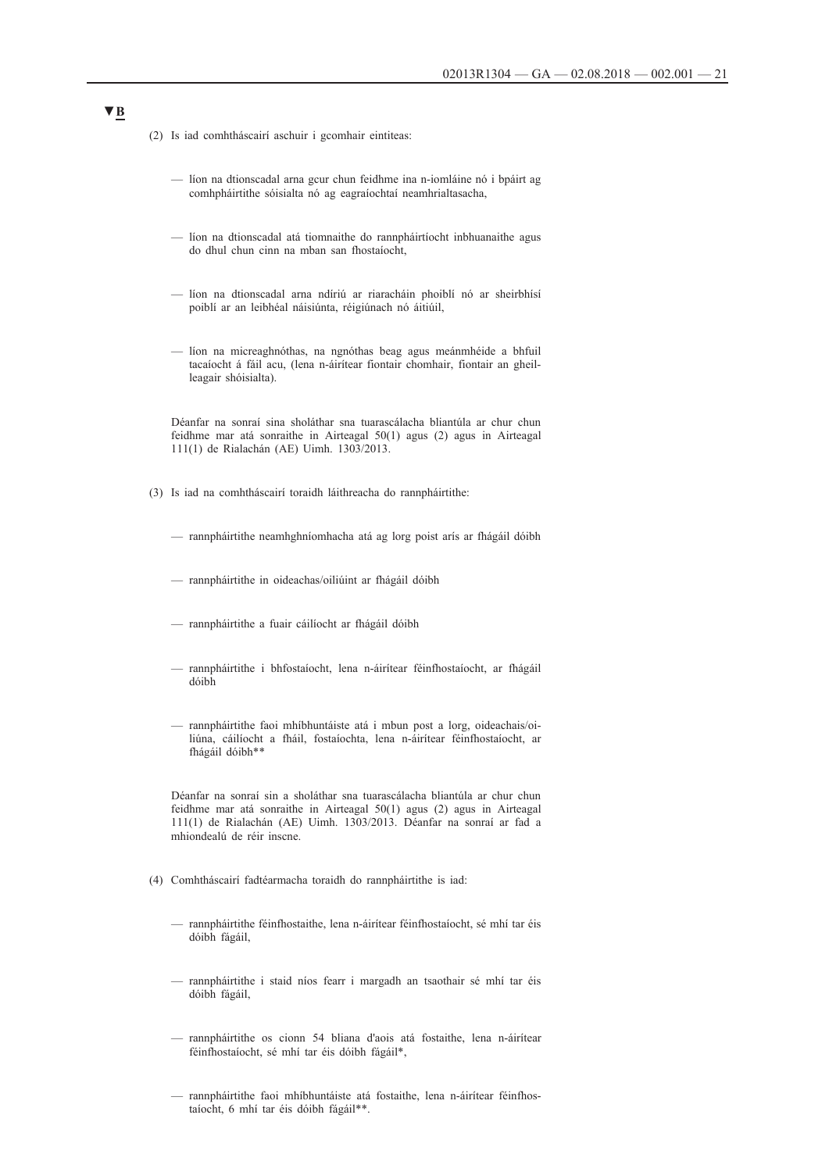- (2) Is iad comhtháscairí aschuir i gcomhair eintiteas:
	- líon na dtionscadal arna gcur chun feidhme ina n-iomláine nó i bpáirt ag comhpháirtithe sóisialta nó ag eagraíochtaí neamhrialtasacha,
	- líon na dtionscadal atá tiomnaithe do rannpháirtíocht inbhuanaithe agus do dhul chun cinn na mban san fhostaíocht,
	- líon na dtionscadal arna ndíriú ar riaracháin phoiblí nó ar sheirbhísí poiblí ar an leibhéal náisiúnta, réigiúnach nó áitiúil,
	- líon na micreaghnóthas, na ngnóthas beag agus meánmhéide a bhfuil tacaíocht á fáil acu, (lena n-áirítear fiontair chomhair, fiontair an gheilleagair shóisialta).

Déanfar na sonraí sina sholáthar sna tuarascálacha bliantúla ar chur chun feidhme mar atá sonraithe in Airteagal 50(1) agus (2) agus in Airteagal 111(1) de Rialachán (AE) Uimh. 1303/2013.

- (3) Is iad na comhtháscairí toraidh láithreacha do rannpháirtithe:
	- rannpháirtithe neamhghníomhacha atá ag lorg poist arís ar fhágáil dóibh
	- rannpháirtithe in oideachas/oiliúint ar fhágáil dóibh
	- rannpháirtithe a fuair cáilíocht ar fhágáil dóibh
	- rannpháirtithe i bhfostaíocht, lena n-áirítear féinfhostaíocht, ar fhágáil dóibh
	- rannpháirtithe faoi mhíbhuntáiste atá i mbun post a lorg, oideachais/oiliúna, cáilíocht a fháil, fostaíochta, lena n-áirítear féinfhostaíocht, ar fhágáil dóibh\*\*

Déanfar na sonraí sin a sholáthar sna tuarascálacha bliantúla ar chur chun feidhme mar atá sonraithe in Airteagal 50(1) agus (2) agus in Airteagal 111(1) de Rialachán (AE) Uimh. 1303/2013. Déanfar na sonraí ar fad a mhiondealú de réir inscne.

- (4) Comhtháscairí fadtéarmacha toraidh do rannpháirtithe is iad:
	- rannpháirtithe féinfhostaithe, lena n-áirítear féinfhostaíocht, sé mhí tar éis dóibh fágáil,
	- rannpháirtithe i staid níos fearr i margadh an tsaothair sé mhí tar éis dóibh fágáil,
	- rannpháirtithe os cionn 54 bliana d'aois atá fostaithe, lena n-áirítear féinfhostaíocht, sé mhí tar éis dóibh fágáil\*,
	- rannpháirtithe faoi mhíbhuntáiste atá fostaithe, lena n-áirítear féinfhostaíocht, 6 mhí tar éis dóibh fágáil\*\*.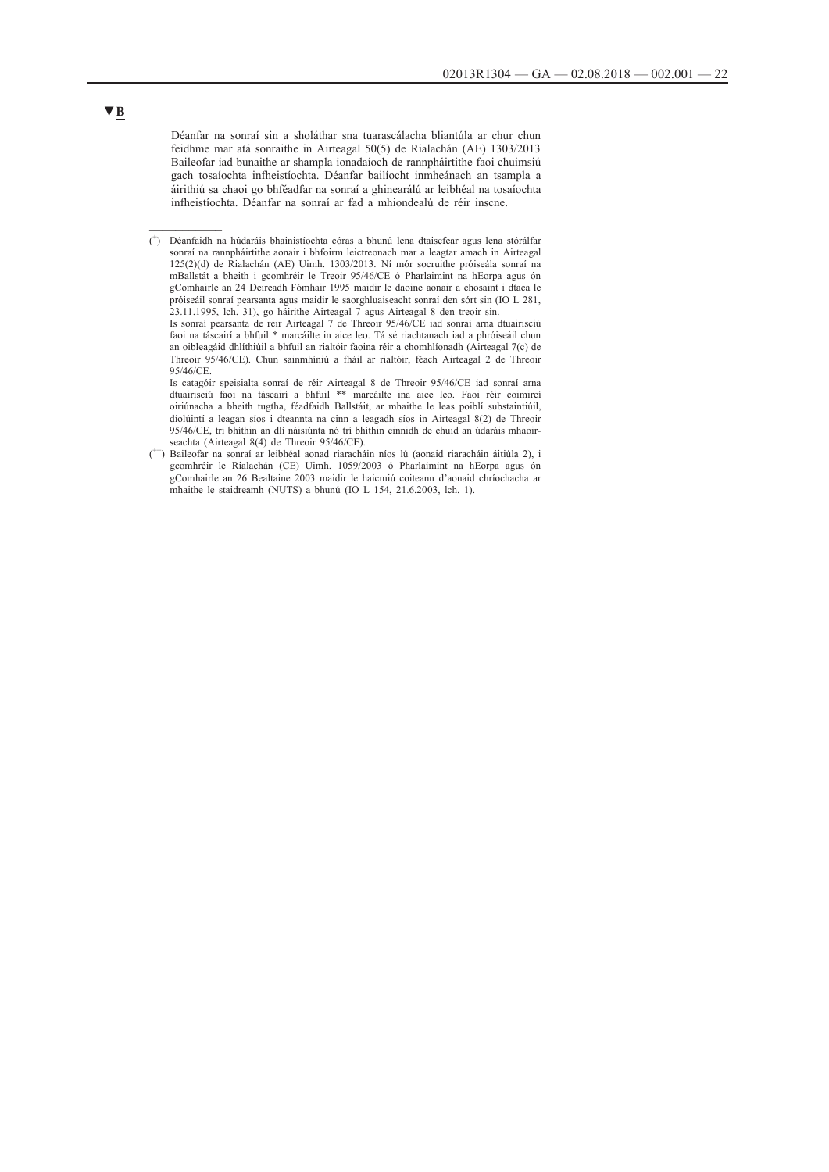Déanfar na sonraí sin a sholáthar sna tuarascálacha bliantúla ar chur chun feidhme mar atá sonraithe in Airteagal 50(5) de Rialachán (AE) 1303/2013 Baileofar iad bunaithe ar shampla ionadaíoch de rannpháirtithe faoi chuimsiú gach tosaíochta infheistíochta. Déanfar bailíocht inmheánach an tsampla a áirithiú sa chaoi go bhféadfar na sonraí a ghinearálú ar leibhéal na tosaíochta infheistíochta. Déanfar na sonraí ar fad a mhiondealú de réir inscne.

( + ) Déanfaidh na húdaráis bhainistíochta córas a bhunú lena dtaiscfear agus lena stórálfar sonraí na rannpháirtithe aonair i bhfoirm leictreonach mar a leagtar amach in Airteagal 125(2)(d) de Rialachán (AE) Uimh. 1303/2013. Ní mór socruithe próiseála sonraí na mBallstát a bheith i gcomhréir le Treoir 95/46/CE ó Pharlaimint na hEorpa agus ón gComhairle an 24 Deireadh Fómhair 1995 maidir le daoine aonair a chosaint i dtaca le próiseáil sonraí pearsanta agus maidir le saorghluaiseacht sonraí den sórt sin (IO L 281, 23.11.1995, lch. 31), go háirithe Airteagal 7 agus Airteagal 8 den treoir sin.

Is sonraí pearsanta de réir Airteagal 7 de Threoir 95/46/CE iad sonraí arna dtuairisciú faoi na táscairí a bhfuil \* marcáilte in aice leo. Tá sé riachtanach iad a phróiseáil chun an oibleagáid dhlíthiúil a bhfuil an rialtóir faoina réir a chomhlíonadh (Airteagal 7(c) de Threoir 95/46/CE). Chun sainmhíniú a fháil ar rialtóir, féach Airteagal 2 de Threoir 95/46/CE.

Is catagóir speisialta sonraí de réir Airteagal 8 de Threoir 95/46/CE iad sonraí arna dtuairisciú faoi na táscairí a bhfuil \*\* marcáilte ina aice leo. Faoi réir coimircí oiriúnacha a bheith tugtha, féadfaidh Ballstáit, ar mhaithe le leas poiblí substaintiúil, díolúintí a leagan síos i dteannta na cinn a leagadh síos in Airteagal 8(2) de Threoir 95/46/CE, trí bhíthin an dlí náisiúnta nó trí bhíthin cinnidh de chuid an údaráis mhaoirseachta (Airteagal 8(4) de Threoir 95/46/CE).

(<sup>++</sup>) Baileofar na sonraí ar leibhéal aonad riaracháin níos lú (aonaid riaracháin áitiúla 2), i gcomhréir le Rialachán (CE) Uimh. 1059/2003 ó Pharlaimint na hEorpa agus ón gComhairle an 26 Bealtaine 2003 maidir le haicmiú coiteann d'aonaid chríochacha ar mhaithe le staidreamh (NUTS) a bhunú (IO L 154, 21.6.2003, lch. 1).

### **▼B**

 $\frac{1}{2}$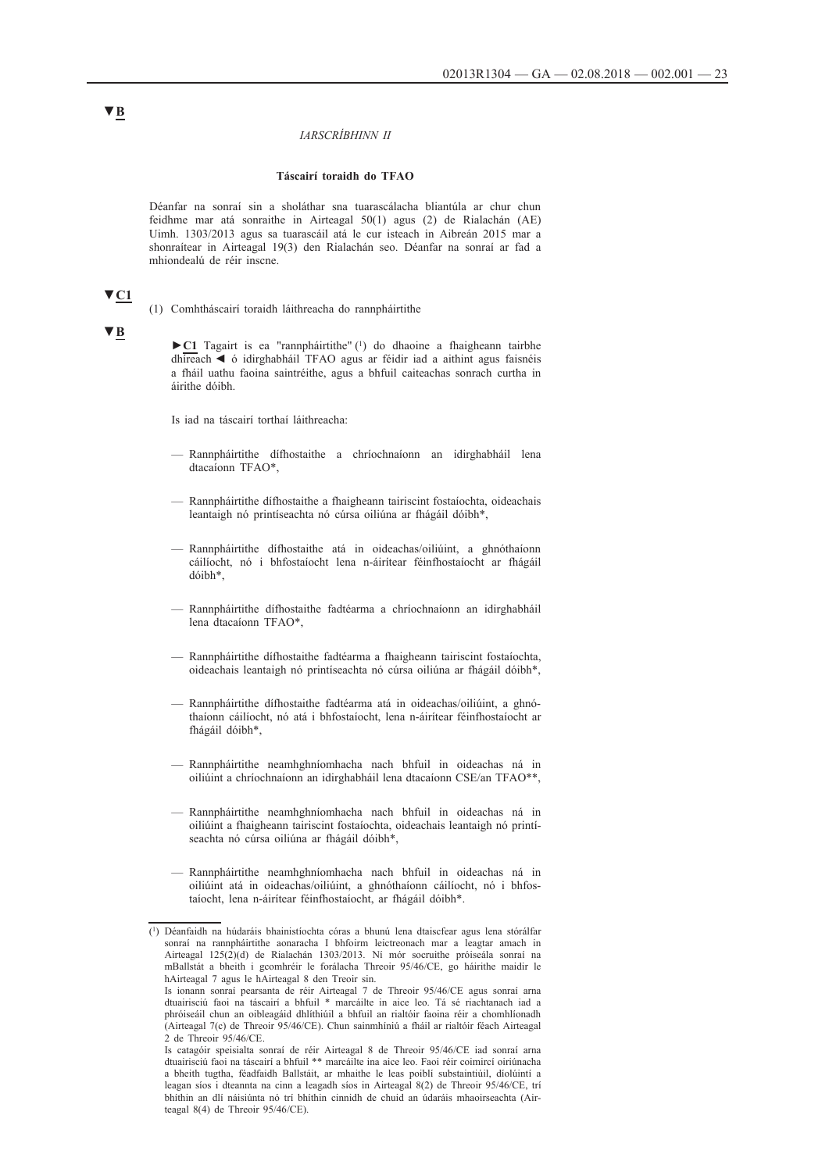#### *IARSCRÍBHINN II*

#### **Táscairí toraidh do TFAO**

Déanfar na sonraí sin a sholáthar sna tuarascálacha bliantúla ar chur chun feidhme mar atá sonraithe in Airteagal 50(1) agus (2) de Rialachán (AE) Uimh. 1303/2013 agus sa tuarascáil atá le cur isteach in Aibreán 2015 mar a shonraítear in Airteagal 19(3) den Rialachán seo. Déanfar na sonraí ar fad a mhiondealú de réir inscne.

# **▼C1**

(1) Comhtháscairí toraidh láithreacha do rannpháirtithe

#### **▼B**

**►C1** Tagairt is ea "rannpháirtithe" (1) do dhaoine a fhaigheann tairbhe dhíreach ◄ ó idirghabháil TFAO agus ar féidir iad a aithint agus faisnéis a fháil uathu faoina saintréithe, agus a bhfuil caiteachas sonrach curtha in áirithe dóibh.

Is iad na táscairí torthaí láithreacha:

- Rannpháirtithe dífhostaithe a chríochnaíonn an idirghabháil lena dtacaíonn TFAO\*,
- Rannpháirtithe dífhostaithe a fhaigheann tairiscint fostaíochta, oideachais leantaigh nó printíseachta nó cúrsa oiliúna ar fhágáil dóibh\*,
- Rannpháirtithe dífhostaithe atá in oideachas/oiliúint, a ghnóthaíonn cáilíocht, nó i bhfostaíocht lena n-áirítear féinfhostaíocht ar fhágáil dóibh\*,
- Rannpháirtithe dífhostaithe fadtéarma a chríochnaíonn an idirghabháil lena dtacaíonn TFAO\*,
- Rannpháirtithe dífhostaithe fadtéarma a fhaigheann tairiscint fostaíochta, oideachais leantaigh nó printíseachta nó cúrsa oiliúna ar fhágáil dóibh\*,
- Rannpháirtithe dífhostaithe fadtéarma atá in oideachas/oiliúint, a ghnóthaíonn cáilíocht, nó atá i bhfostaíocht, lena n-áirítear féinfhostaíocht ar fhágáil dóibh\*,
- Rannpháirtithe neamhghníomhacha nach bhfuil in oideachas ná in oiliúint a chríochnaíonn an idirghabháil lena dtacaíonn CSE/an TFAO\*\*,
- Rannpháirtithe neamhghníomhacha nach bhfuil in oideachas ná in oiliúint a fhaigheann tairiscint fostaíochta, oideachais leantaigh nó printíseachta nó cúrsa oiliúna ar fhágáil dóibh\*,
- Rannpháirtithe neamhghníomhacha nach bhfuil in oideachas ná in oiliúint atá in oideachas/oiliúint, a ghnóthaíonn cáilíocht, nó i bhfostaíocht, lena n-áirítear féinfhostaíocht, ar fhágáil dóibh\*.

<sup>(1)</sup> Déanfaidh na húdaráis bhainistíochta córas a bhunú lena dtaiscfear agus lena stórálfar sonraí na rannpháirtithe aonaracha I bhfoirm leictreonach mar a leagtar amach in Airteagal 125(2)(d) de Rialachán 1303/2013. Ní mór socruithe próiseála sonraí na mBallstát a bheith i gcomhréir le forálacha Threoir 95/46/CE, go háirithe maidir le hAirteagal 7 agus le hAirteagal 8 den Treoir sin.

Is ionann sonraí pearsanta de réir Airteagal 7 de Threoir 95/46/CE agus sonraí arna dtuairisciú faoi na táscairí a bhfuil \* marcáilte in aice leo. Tá sé riachtanach iad a phróiseáil chun an oibleagáid dhlíthiúil a bhfuil an rialtóir faoina réir a chomhlíonadh (Airteagal 7(c) de Threoir 95/46/CE). Chun sainmhíniú a fháil ar rialtóir féach Airteagal 2 de Threoir 95/46/CE.

Is catagóir speisialta sonraí de réir Airteagal 8 de Threoir 95/46/CE iad sonraí arna dtuairisciú faoi na táscairí a bhfuil \*\* marcáilte ina aice leo. Faoi réir coimircí oiriúnacha a bheith tugtha, féadfaidh Ballstáit, ar mhaithe le leas poiblí substaintiúil, díolúintí a leagan síos i dteannta na cinn a leagadh síos in Airteagal 8(2) de Threoir 95/46/CE, trí bhíthin an dlí náisiúnta nó trí bhíthin cinnidh de chuid an údaráis mhaoirseachta (Airteagal 8(4) de Threoir 95/46/CE).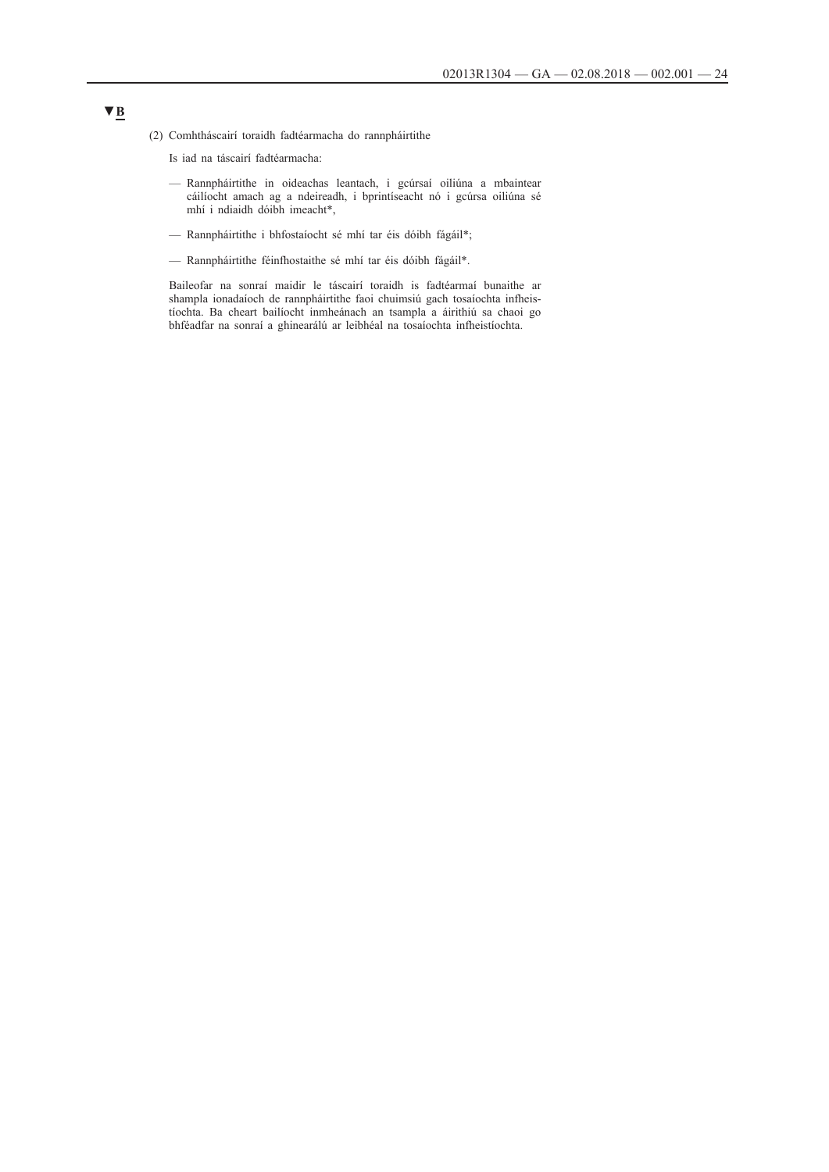- (2) Comhtháscairí toraidh fadtéarmacha do rannpháirtithe
	- Is iad na táscairí fadtéarmacha:
	- Rannpháirtithe in oideachas leantach, i gcúrsaí oiliúna a mbaintear cáilíocht amach ag a ndeireadh, i bprintíseacht nó i gcúrsa oiliúna sé mhí i ndiaidh dóibh imeacht\*,
	- Rannpháirtithe i bhfostaíocht sé mhí tar éis dóibh fágáil\*;
	- Rannpháirtithe féinfhostaithe sé mhí tar éis dóibh fágáil\*.

Baileofar na sonraí maidir le táscairí toraidh is fadtéarmaí bunaithe ar shampla ionadaíoch de rannpháirtithe faoi chuimsiú gach tosaíochta infheistíochta. Ba cheart bailíocht inmheánach an tsampla a áirithiú sa chaoi go bhféadfar na sonraí a ghinearálú ar leibhéal na tosaíochta infheistíochta.